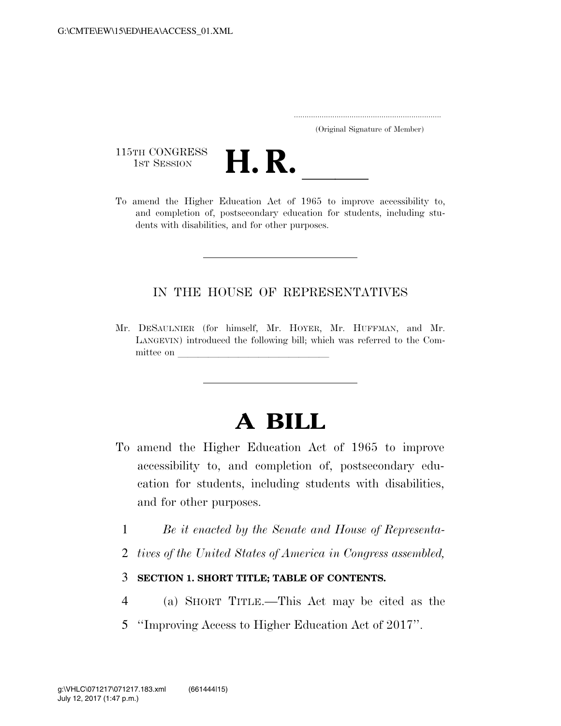..................................................................... (Original Signature of Member)

115TH CONGRESS<br>1st Session



115TH CONGRESS<br>1st SESSION **H. R.** <u>Indication Act of 1965</u> to improve accessibility to, and completion of, postsecondary education for students, including students with disabilities, and for other purposes.

#### IN THE HOUSE OF REPRESENTATIVES

Mr. DESAULNIER (for himself, Mr. HOYER, Mr. HUFFMAN, and Mr. LANGEVIN) introduced the following bill; which was referred to the Committee on

## **A BILL**

- To amend the Higher Education Act of 1965 to improve accessibility to, and completion of, postsecondary education for students, including students with disabilities, and for other purposes.
	- 1 *Be it enacted by the Senate and House of Representa-*
	- 2 *tives of the United States of America in Congress assembled,*

#### 3 **SECTION 1. SHORT TITLE; TABLE OF CONTENTS.**

- 4 (a) SHORT TITLE.—This Act may be cited as the
- 5 ''Improving Access to Higher Education Act of 2017''.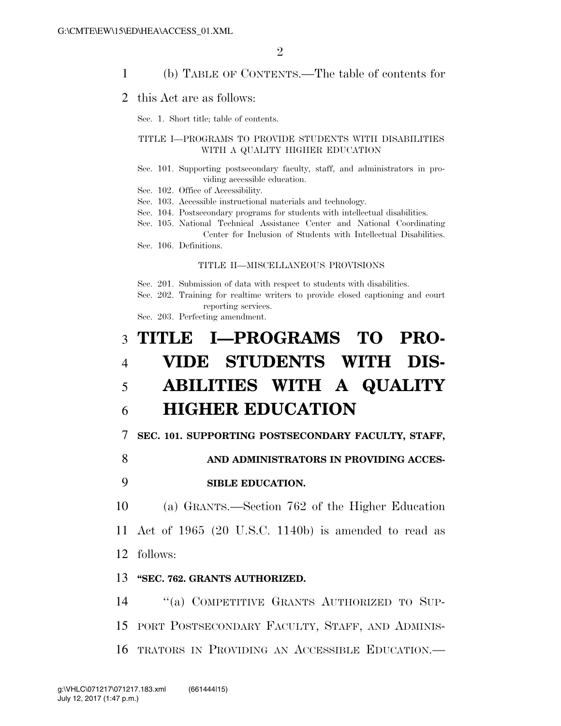1 (b) TABLE OF CONTENTS.—The table of contents for

#### 2 this Act are as follows:

Sec. 1. Short title; table of contents.

#### TITLE I—PROGRAMS TO PROVIDE STUDENTS WITH DISABILITIES WITH A QUALITY HIGHER EDUCATION

- Sec. 101. Supporting postsecondary faculty, staff, and administrators in providing accessible education.
- Sec. 102. Office of Accessibility.

Sec. 103. Accessible instructional materials and technology.

- Sec. 104. Postsecondary programs for students with intellectual disabilities.
- Sec. 105. National Technical Assistance Center and National Coordinating Center for Inclusion of Students with Intellectual Disabilities.
- Sec. 106. Definitions.

#### TITLE II—MISCELLANEOUS PROVISIONS

Sec. 201. Submission of data with respect to students with disabilities.

Sec. 202. Training for realtime writers to provide closed captioning and court reporting services.

Sec. 203. Perfecting amendment.

# 3 **TITLE I—PROGRAMS TO PRO-**4 **VIDE STUDENTS WITH DIS-**5 **ABILITIES WITH A QUALITY**

### 6 **HIGHER EDUCATION**

7 **SEC. 101. SUPPORTING POSTSECONDARY FACULTY, STAFF,** 

8 **AND ADMINISTRATORS IN PROVIDING ACCES-**

#### 9 **SIBLE EDUCATION.**

10 (a) GRANTS.—Section 762 of the Higher Education 11 Act of 1965 (20 U.S.C. 1140b) is amended to read as 12 follows:

#### 13 **''SEC. 762. GRANTS AUTHORIZED.**

14 ''(a) COMPETITIVE GRANTS AUTHORIZED TO SUP-15 PORT POSTSECONDARY FACULTY, STAFF, AND ADMINIS-16 TRATORS IN PROVIDING AN ACCESSIBLE EDUCATION.—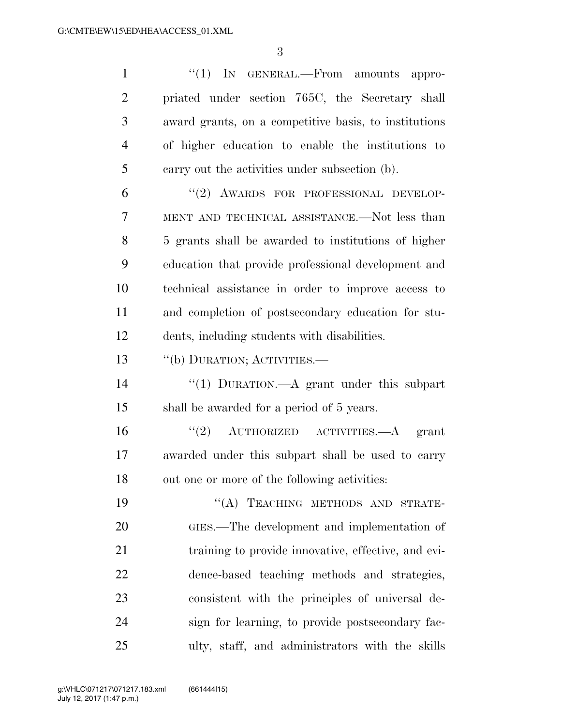1 ''(1) IN GENERAL.—From amounts appro- priated under section 765C, the Secretary shall award grants, on a competitive basis, to institutions of higher education to enable the institutions to carry out the activities under subsection (b). 6 "(2) AWARDS FOR PROFESSIONAL DEVELOP-

 MENT AND TECHNICAL ASSISTANCE.—Not less than 5 grants shall be awarded to institutions of higher education that provide professional development and technical assistance in order to improve access to and completion of postsecondary education for stu-dents, including students with disabilities.

''(b) DURATION; ACTIVITIES.—

 ''(1) DURATION.—A grant under this subpart shall be awarded for a period of 5 years.

16  $(2)$  AUTHORIZED ACTIVITIES.—A grant awarded under this subpart shall be used to carry out one or more of the following activities:

19 "(A) TEACHING METHODS AND STRATE- GIES.—The development and implementation of training to provide innovative, effective, and evi- dence-based teaching methods and strategies, consistent with the principles of universal de- sign for learning, to provide postsecondary fac-ulty, staff, and administrators with the skills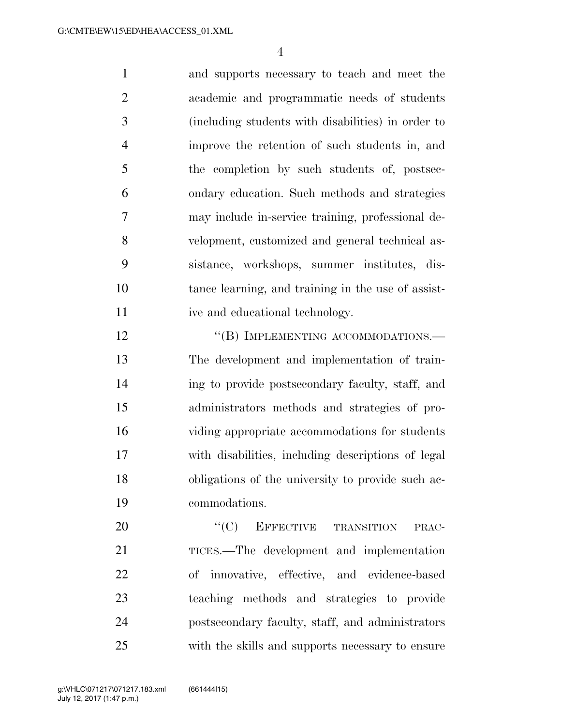and supports necessary to teach and meet the academic and programmatic needs of students (including students with disabilities) in order to improve the retention of such students in, and the completion by such students of, postsec- ondary education. Such methods and strategies may include in-service training, professional de- velopment, customized and general technical as- sistance, workshops, summer institutes, dis- tance learning, and training in the use of assist-11 ive and educational technology.

12 "(B) IMPLEMENTING ACCOMMODATIONS.— The development and implementation of train- ing to provide postsecondary faculty, staff, and administrators methods and strategies of pro- viding appropriate accommodations for students with disabilities, including descriptions of legal obligations of the university to provide such ac-commodations.

20 "(C) EFFECTIVE TRANSITION PRAC- TICES.—The development and implementation of innovative, effective, and evidence-based teaching methods and strategies to provide postsecondary faculty, staff, and administrators with the skills and supports necessary to ensure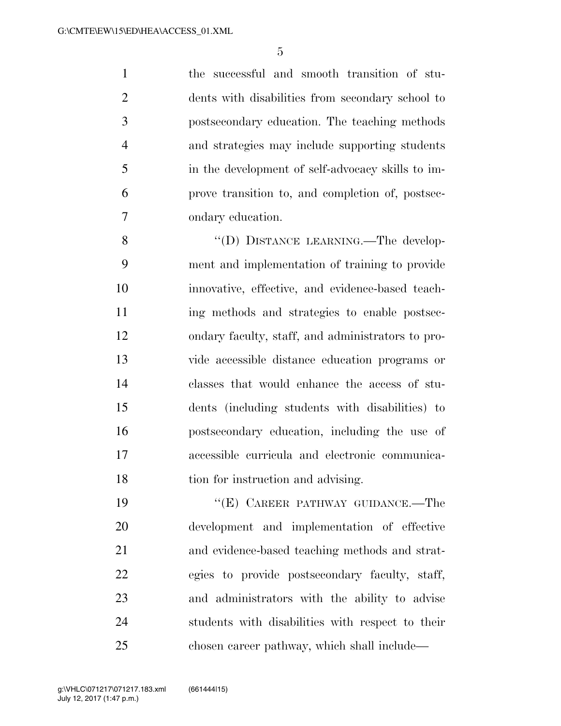the successful and smooth transition of stu- dents with disabilities from secondary school to postsecondary education. The teaching methods and strategies may include supporting students in the development of self-advocacy skills to im- prove transition to, and completion of, postsec-ondary education.

8 "(D) DISTANCE LEARNING.—The develop- ment and implementation of training to provide innovative, effective, and evidence-based teach- ing methods and strategies to enable postsec- ondary faculty, staff, and administrators to pro- vide accessible distance education programs or classes that would enhance the access of stu- dents (including students with disabilities) to postsecondary education, including the use of accessible curricula and electronic communica-18 tion for instruction and advising.

19 "'(E) CAREER PATHWAY GUIDANCE.—The development and implementation of effective and evidence-based teaching methods and strat- egies to provide postsecondary faculty, staff, and administrators with the ability to advise students with disabilities with respect to their chosen career pathway, which shall include—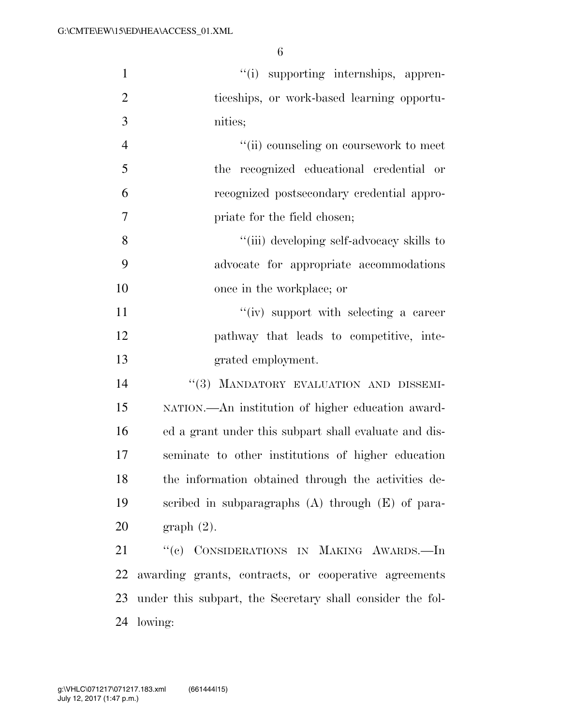| $\mathbf{1}$   | "(i) supporting internships, appren-                      |
|----------------|-----------------------------------------------------------|
| $\overline{2}$ | ticeships, or work-based learning opportu-                |
| 3              | nities;                                                   |
| $\overline{4}$ | "(ii) counseling on coursework to meet                    |
| 5              | the recognized educational credential or                  |
| 6              | recognized postsecondary credential appro-                |
| 7              | priate for the field chosen;                              |
| 8              | "(iii) developing self-advocacy skills to                 |
| 9              | advocate for appropriate accommodations                   |
| 10             | once in the workplace; or                                 |
| 11             | "(iv) support with selecting a career                     |
| 12             | pathway that leads to competitive, inte-                  |
| 13             | grated employment.                                        |
| 14             | "(3) MANDATORY EVALUATION AND DISSEMI-                    |
| 15             | NATION.—An institution of higher education award-         |
| 16             | ed a grant under this subpart shall evaluate and dis-     |
| 17             | seminate to other institutions of higher education        |
| 18             | the information obtained through the activities de-       |
| 19             | scribed in subparagraphs $(A)$ through $(E)$ of para-     |
| 20             | graph(2).                                                 |
| 21             | "(c) CONSIDERATIONS IN MAKING AWARDS.-In                  |
| 22             | awarding grants, contracts, or cooperative agreements     |
| 23             | under this subpart, the Secretary shall consider the fol- |
|                | 24 lowing:                                                |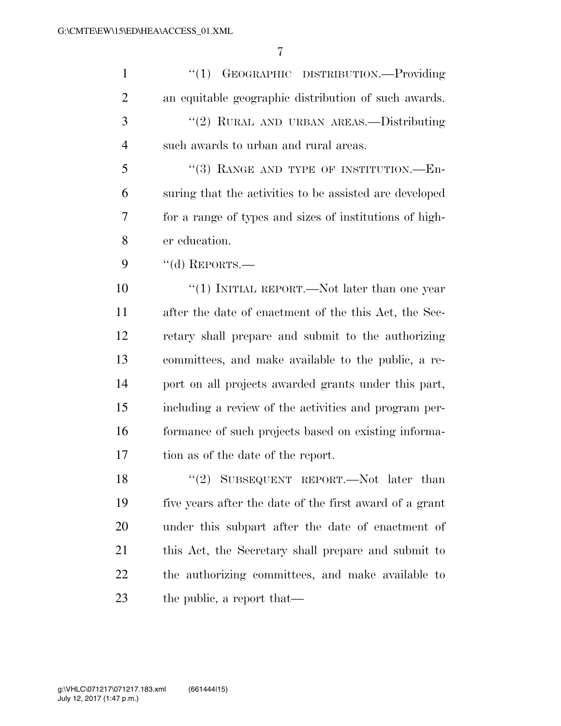| $\mathbf{1}$   | ``(1)<br>GEOGRAPHIC DISTRIBUTION.-Providing             |
|----------------|---------------------------------------------------------|
| $\overline{2}$ | an equitable geographic distribution of such awards.    |
| 3              | "(2) RURAL AND URBAN AREAS.—Distributing                |
| $\overline{4}$ | such awards to urban and rural areas.                   |
| 5              | "(3) RANGE AND TYPE OF INSTITUTION. $-$ En-             |
| 6              | suring that the activities to be assisted are developed |
| 7              | for a range of types and sizes of institutions of high- |
| 8              | er education.                                           |
| 9              | "(d) REPORTS.—                                          |
| 10             | "(1) INITIAL REPORT.—Not later than one year            |
| 11             | after the date of enactment of the this Act, the Sec-   |
| 12             | retary shall prepare and submit to the authorizing      |
| 13             | committees, and make available to the public, a re-     |
| 14             | port on all projects awarded grants under this part,    |
| 15             | including a review of the activities and program per-   |
| 16             | formance of such projects based on existing informa-    |
| 17             | tion as of the date of the report.                      |
| 18             | "(2) SUBSEQUENT REPORT.—Not later than                  |
| 19             | five years after the date of the first award of a grant |
| 20             | under this subpart after the date of enactment of       |
| 21             | this Act, the Secretary shall prepare and submit to     |
| 22             | the authorizing committees, and make available to       |
| 23             | the public, a report that—                              |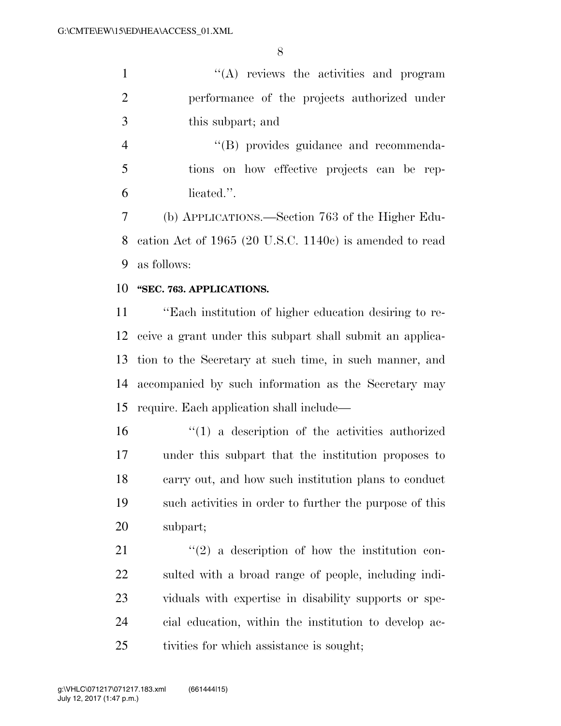''(A) reviews the activities and program performance of the projects authorized under this subpart; and

 ''(B) provides guidance and recommenda- tions on how effective projects can be rep-licated.''.

 (b) APPLICATIONS.—Section 763 of the Higher Edu- cation Act of 1965 (20 U.S.C. 1140c) is amended to read as follows:

#### **''SEC. 763. APPLICATIONS.**

 ''Each institution of higher education desiring to re- ceive a grant under this subpart shall submit an applica- tion to the Secretary at such time, in such manner, and accompanied by such information as the Secretary may require. Each application shall include—

 ''(1) a description of the activities authorized under this subpart that the institution proposes to carry out, and how such institution plans to conduct such activities in order to further the purpose of this subpart;

 ''(2) a description of how the institution con- sulted with a broad range of people, including indi- viduals with expertise in disability supports or spe- cial education, within the institution to develop ac-tivities for which assistance is sought;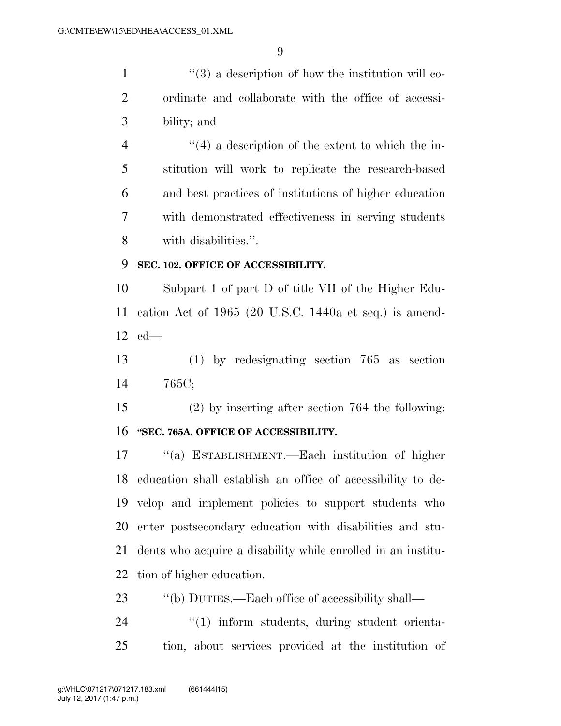$\frac{1}{2}$  ''(3) a description of how the institution will co- ordinate and collaborate with the office of accessi-bility; and

 $\frac{4}{4}$  ''(4) a description of the extent to which the in- stitution will work to replicate the research-based and best practices of institutions of higher education with demonstrated effectiveness in serving students with disabilities.''.

#### **SEC. 102. OFFICE OF ACCESSIBILITY.**

 Subpart 1 of part D of title VII of the Higher Edu- cation Act of 1965 (20 U.S.C. 1440a et seq.) is amend-ed—

 (1) by redesignating section 765 as section 765C;

 (2) by inserting after section 764 the following: **''SEC. 765A. OFFICE OF ACCESSIBILITY.** 

 ''(a) ESTABLISHMENT.—Each institution of higher education shall establish an office of accessibility to de- velop and implement policies to support students who enter postsecondary education with disabilities and stu- dents who acquire a disability while enrolled in an institu-tion of higher education.

23 "(b) DUTIES.—Each office of accessibility shall—

24  $\frac{1}{1}$  inform students, during student orienta-tion, about services provided at the institution of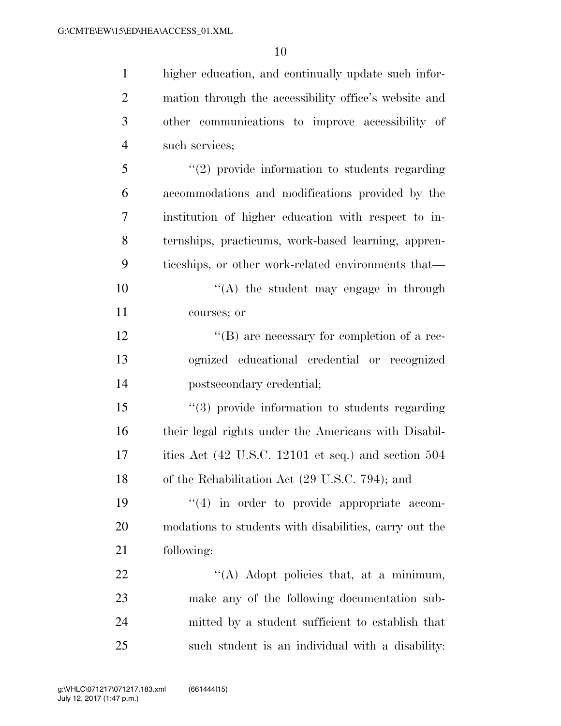higher education, and continually update such infor-

 mation through the accessibility office's website and other communications to improve accessibility of such services; ''(2) provide information to students regarding accommodations and modifications provided by the institution of higher education with respect to in- ternships, practicums, work-based learning, appren- ticeships, or other work-related environments that—  $\langle (A)$  the student may engage in through courses; or  $\langle G \rangle$  are necessary for completion of a rec- ognized educational credential or recognized postsecondary credential; ''(3) provide information to students regarding their legal rights under the Americans with Disabil- ities Act (42 U.S.C. 12101 et seq.) and section 504 of the Rehabilitation Act (29 U.S.C. 794); and  $(4)$  in order to provide appropriate accom- modations to students with disabilities, carry out the following:  $\text{``(A)}$  Adopt policies that, at a minimum, make any of the following documentation sub- mitted by a student sufficient to establish that such student is an individual with a disability: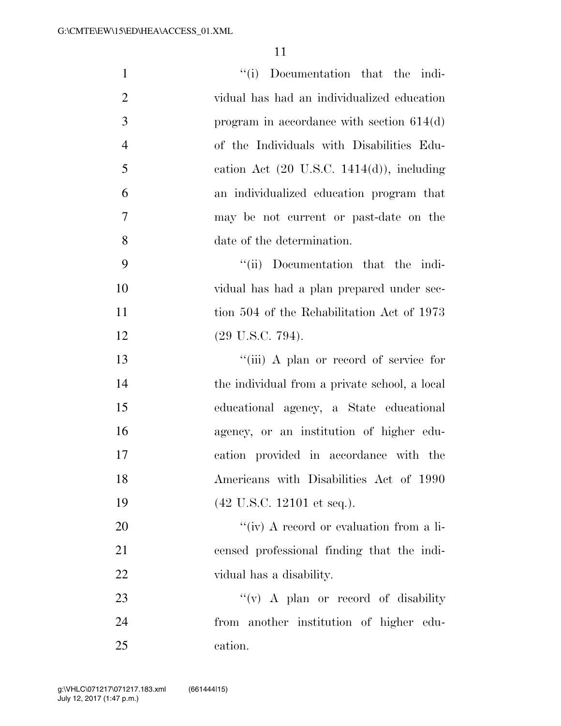| $\mathbf{1}$   | "(i) Documentation that the indi-                     |
|----------------|-------------------------------------------------------|
| $\overline{2}$ | vidual has had an individualized education            |
| 3              | program in accordance with section $614(d)$           |
| $\overline{4}$ | of the Individuals with Disabilities Edu-             |
| 5              | cation Act $(20 \text{ U.S.C. } 1414(d))$ , including |
| 6              | an individualized education program that              |
| 7              | may be not current or past-date on the                |
| 8              | date of the determination.                            |
| 9              | "(ii) Documentation that the indi-                    |
| 10             | vidual has had a plan prepared under sec-             |
| 11             | tion 504 of the Rehabilitation Act of 1973            |
| 12             | $(29 \text{ U.S.C. } 794).$                           |
| 13             | "(iii) A plan or record of service for                |
| 14             | the individual from a private school, a local         |
| 15             | educational agency, a State educational               |
| 16             | agency, or an institution of higher edu-              |
| 17             | cation provided in accordance with the                |
| 18             | Americans with Disabilities Act of 1990               |
| 19             | $(42 \text{ U.S.C. } 12101 \text{ et seq.}).$         |
| 20             | "(iv) A record or evaluation from a li-               |
| 21             | censed professional finding that the indi-            |
| 22             | vidual has a disability.                              |
| 23             | "(v) A plan or record of disability"                  |
| 24             | from another institution of higher edu-               |
| 25             | cation.                                               |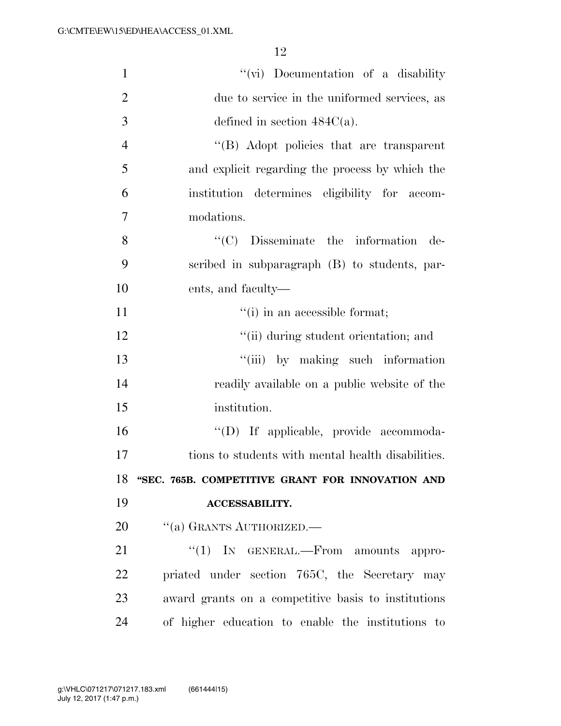| $\mathbf{1}$   | "(vi) Documentation of a disability                 |
|----------------|-----------------------------------------------------|
| $\overline{2}$ | due to service in the uniformed services, as        |
| 3              | defined in section $484C(a)$ .                      |
| $\overline{4}$ | "(B) Adopt policies that are transparent            |
| 5              | and explicit regarding the process by which the     |
| 6              | institution determines eligibility for accom-       |
| 7              | modations.                                          |
| 8              | ``(C)<br>Disseminate the information<br>de-         |
| 9              | scribed in subparagraph (B) to students, par-       |
| 10             | ents, and faculty—                                  |
| 11             | "(i) in an accessible format;                       |
| 12             | "(ii) during student orientation; and               |
| 13             | "(iii) by making such information                   |
| 14             | readily available on a public website of the        |
| 15             | institution.                                        |
| 16             | "(D) If applicable, provide accommoda-              |
| 17             | tions to students with mental health disabilities.  |
| 18             | "SEC. 765B. COMPETITIVE GRANT FOR INNOVATION AND    |
| 19             | <b>ACCESSABILITY.</b>                               |
| 20             | "(a) GRANTS AUTHORIZED.—                            |
| 21             | " $(1)$ In GENERAL.—From amounts appro-             |
| 22             | priated under section 765C, the Secretary may       |
| 23             | award grants on a competitive basis to institutions |
| 24             | of higher education to enable the institutions to   |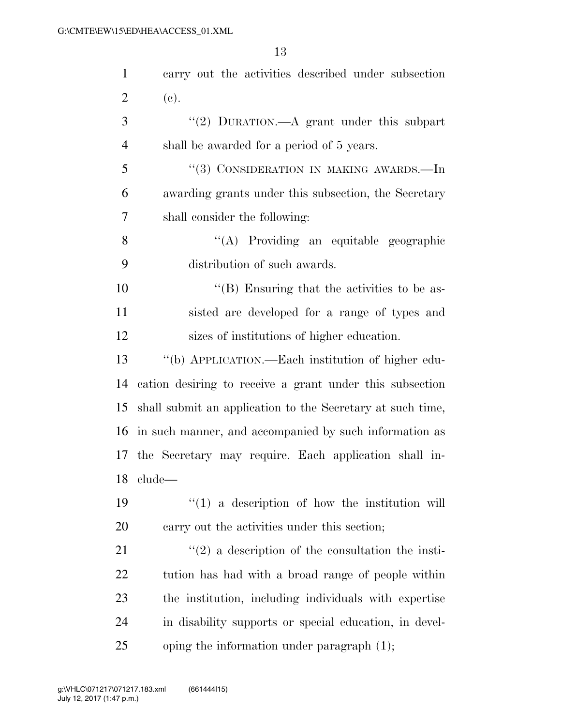| $\mathbf{1}$   | carry out the activities described under subsection        |
|----------------|------------------------------------------------------------|
| $\overline{2}$ | (e).                                                       |
| 3              | "(2) DURATION.—A grant under this subpart                  |
| $\overline{4}$ | shall be awarded for a period of 5 years.                  |
| 5              | "(3) CONSIDERATION IN MAKING AWARDS.—In                    |
| 6              | awarding grants under this subsection, the Secretary       |
| 7              | shall consider the following:                              |
| 8              | "(A) Providing an equitable geographic                     |
| 9              | distribution of such awards.                               |
| 10             | "(B) Ensuring that the activities to be as-                |
| 11             | sisted are developed for a range of types and              |
| 12             | sizes of institutions of higher education.                 |
| 13             | "(b) APPLICATION.—Each institution of higher edu-          |
| 14             | cation desiring to receive a grant under this subsection   |
| 15             | shall submit an application to the Secretary at such time, |
|                | 16 in such manner, and accompanied by such information as  |
|                | 17 the Secretary may require. Each application shall in-   |
| 18             | clude                                                      |
| 19             | $\lq(1)$ a description of how the institution will         |
| 20             | carry out the activities under this section;               |
| 21             | $\lq(2)$ a description of the consultation the insti-      |
| 22             | tution has had with a broad range of people within         |
| 23             | the institution, including individuals with expertise      |
| 24             | in disability supports or special education, in devel-     |
| 25             | oping the information under paragraph $(1)$ ;              |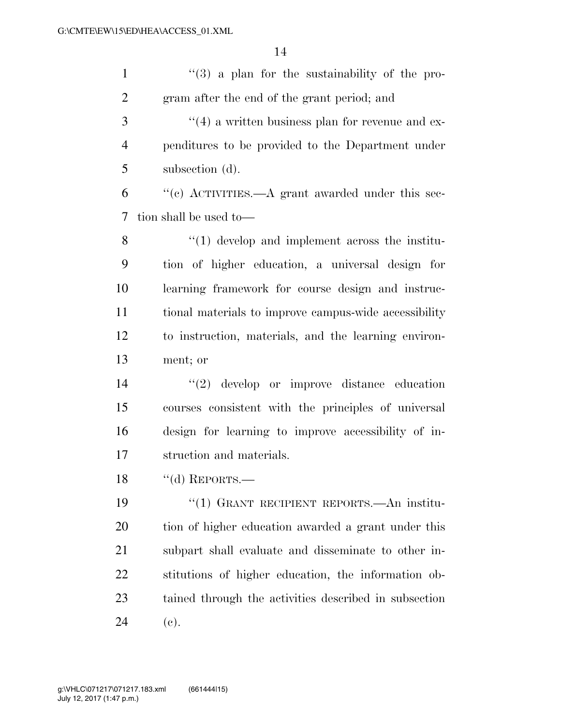| $\mathbf{1}$   | $\lq(3)$ a plan for the sustainability of the pro-      |
|----------------|---------------------------------------------------------|
| $\overline{2}$ | gram after the end of the grant period; and             |
| 3              | $\cdot$ (4) a written business plan for revenue and ex- |
| $\overline{4}$ | penditures to be provided to the Department under       |
| 5              | subsection (d).                                         |
| 6              | "(c) ACTIVITIES.—A grant awarded under this sec-        |
| 7              | tion shall be used to-                                  |
| 8              | $\lq(1)$ develop and implement across the institu-      |
| 9              | tion of higher education, a universal design for        |
| 10             | learning framework for course design and instruc-       |
| 11             | tional materials to improve campus-wide accessibility   |
| 12             | to instruction, materials, and the learning environ-    |
| 13             | ment; or                                                |
| 14             | $(2)$ develop or improve distance education             |
| 15             | courses consistent with the principles of universal     |
| 16             | design for learning to improve accessibility of in-     |
| 17             | struction and materials.                                |
| 18             | "(d) REPORTS.—                                          |
| 19             | "(1) GRANT RECIPIENT REPORTS.—An institu-               |
| 20             | tion of higher education awarded a grant under this     |
| 21             | subpart shall evaluate and disseminate to other in-     |
| 22             | stitutions of higher education, the information ob-     |
| 23             | tained through the activities described in subsection   |
| 24             | (e).                                                    |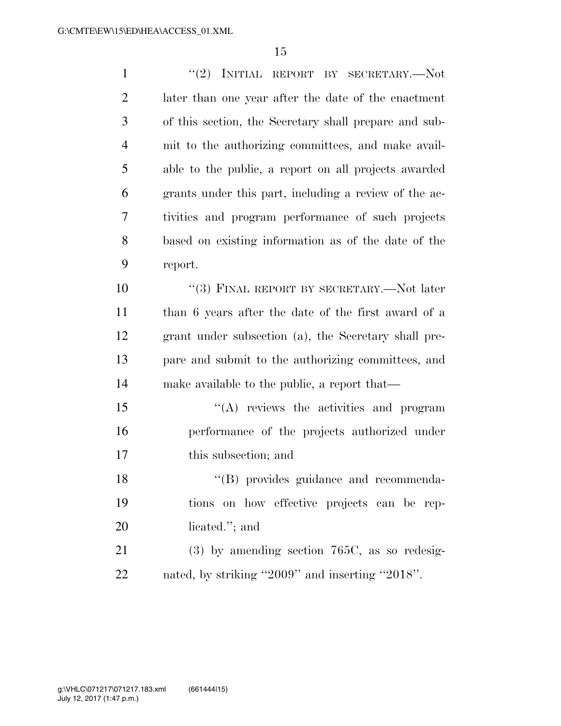| $\mathbf{1}$   | "(2) INITIAL REPORT BY SECRETARY.—Not                 |
|----------------|-------------------------------------------------------|
| $\mathfrak{2}$ | later than one year after the date of the enactment   |
| 3              | of this section, the Secretary shall prepare and sub- |
| $\overline{4}$ | mit to the authorizing committees, and make avail-    |
| 5              | able to the public, a report on all projects awarded  |
| 6              | grants under this part, including a review of the ac- |
| 7              | tivities and program performance of such projects     |
| 8              | based on existing information as of the date of the   |
| 9              | report.                                               |
| 10             | "(3) FINAL REPORT BY SECRETARY.—Not later             |
| 11             | than 6 years after the date of the first award of a   |
| 12             | grant under subsection (a), the Secretary shall pre-  |
| 13             | pare and submit to the authorizing committees, and    |
| 14             | make available to the public, a report that—          |
| 15             | "(A) reviews the activities and program               |
| 16             | performance of the projects authorized under          |
| 17             | this subsection; and                                  |
| 18             | "(B) provides guidance and recommenda-                |
| 19             | tions on how effective projects can be rep-           |
| 20             | licated."; and                                        |
| 21             | $(3)$ by amending section 765C, as so redesig-        |
| 22             | nated, by striking "2009" and inserting "2018".       |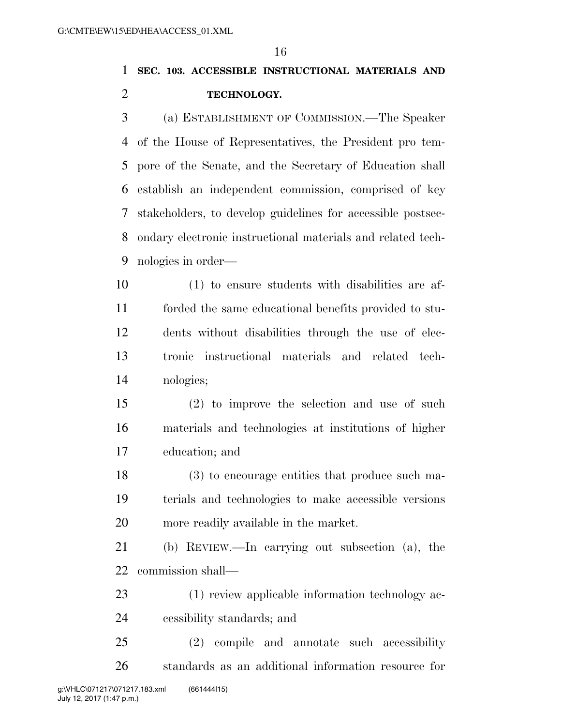### **SEC. 103. ACCESSIBLE INSTRUCTIONAL MATERIALS AND TECHNOLOGY.**

 (a) ESTABLISHMENT OF COMMISSION.—The Speaker of the House of Representatives, the President pro tem- pore of the Senate, and the Secretary of Education shall establish an independent commission, comprised of key stakeholders, to develop guidelines for accessible postsec- ondary electronic instructional materials and related tech-nologies in order—

 (1) to ensure students with disabilities are af- forded the same educational benefits provided to stu- dents without disabilities through the use of elec- tronic instructional materials and related tech-nologies;

 (2) to improve the selection and use of such materials and technologies at institutions of higher education; and

 (3) to encourage entities that produce such ma- terials and technologies to make accessible versions more readily available in the market.

 (b) REVIEW.—In carrying out subsection (a), the commission shall—

 (1) review applicable information technology ac-cessibility standards; and

 (2) compile and annotate such accessibility standards as an additional information resource for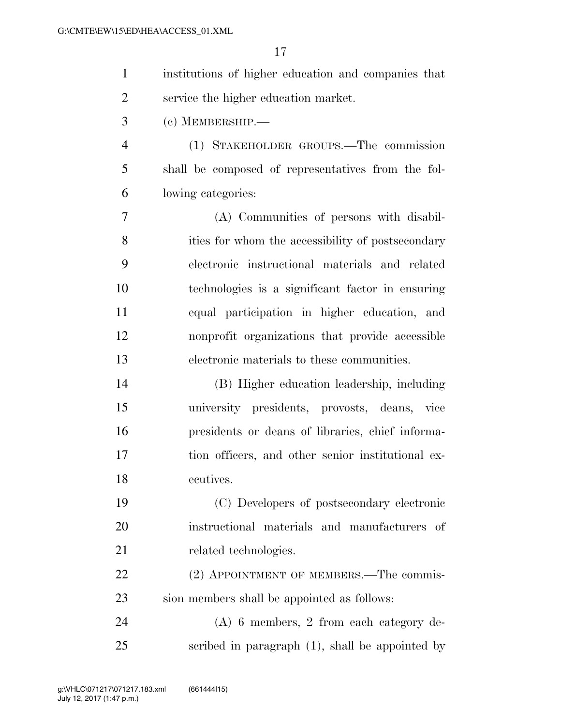| $\mathbf{1}$   | institutions of higher education and companies that |
|----------------|-----------------------------------------------------|
| $\overline{2}$ | service the higher education market.                |
| 3              | $(c)$ MEMBERSHIP.—                                  |
| $\overline{4}$ | (1) STAKEHOLDER GROUPS.—The commission              |
| 5              | shall be composed of representatives from the fol-  |
| 6              | lowing categories:                                  |
| 7              | (A) Communities of persons with disabil-            |
| 8              | ities for whom the accessibility of postsecondary   |
| 9              | electronic instructional materials and related      |
| 10             | technologies is a significant factor in ensuring    |
| 11             | equal participation in higher education, and        |
| 12             | nonprofit organizations that provide accessible     |
| 13             | electronic materials to these communities.          |
| 14             | (B) Higher education leadership, including          |
| 15             | university presidents, provosts, deans, vice        |
| 16             | presidents or deans of libraries, chief informa-    |
| 17             | tion officers, and other senior institutional ex-   |
| 18             | ecutives.                                           |
| 19             | (C) Developers of postsecondary electronic          |
| 20             | instructional materials and manufacturers<br>-of    |
| 21             | related technologies.                               |
| <u>22</u>      | (2) APPOINTMENT OF MEMBERS.—The commis-             |
| 23             | sion members shall be appointed as follows:         |
| 24             | $(A)$ 6 members, 2 from each category de-           |
| 25             | scribed in paragraph $(1)$ , shall be appointed by  |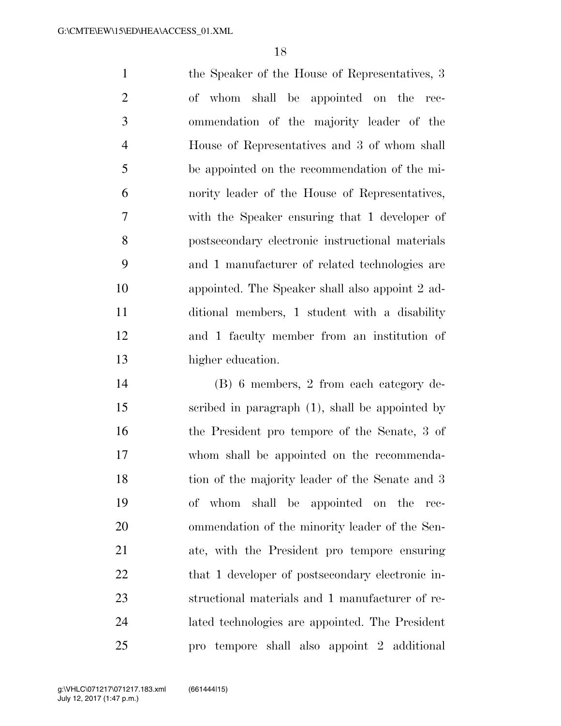the Speaker of the House of Representatives, 3 of whom shall be appointed on the rec- ommendation of the majority leader of the House of Representatives and 3 of whom shall be appointed on the recommendation of the mi- nority leader of the House of Representatives, with the Speaker ensuring that 1 developer of postsecondary electronic instructional materials and 1 manufacturer of related technologies are appointed. The Speaker shall also appoint 2 ad- ditional members, 1 student with a disability and 1 faculty member from an institution of higher education.

 (B) 6 members, 2 from each category de- scribed in paragraph (1), shall be appointed by the President pro tempore of the Senate, 3 of whom shall be appointed on the recommenda- tion of the majority leader of the Senate and 3 of whom shall be appointed on the rec- ommendation of the minority leader of the Sen- ate, with the President pro tempore ensuring 22 that 1 developer of postsecondary electronic in- structional materials and 1 manufacturer of re- lated technologies are appointed. The President pro tempore shall also appoint 2 additional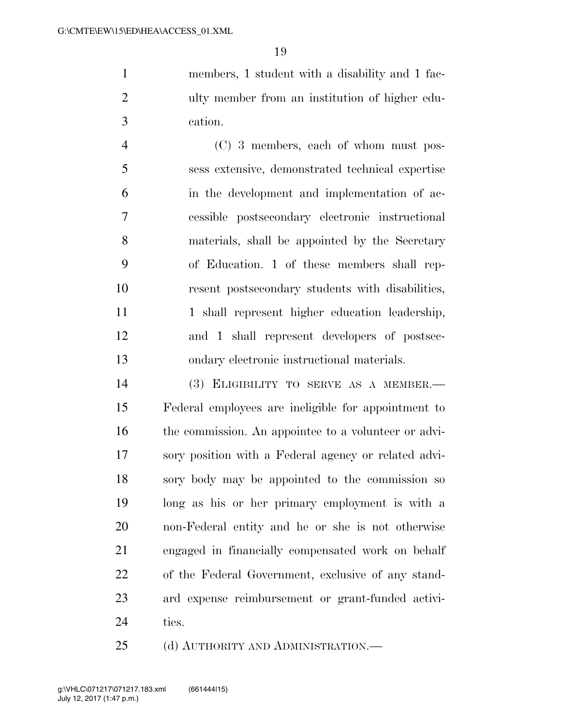members, 1 student with a disability and 1 fac- ulty member from an institution of higher edu-cation.

 (C) 3 members, each of whom must pos- sess extensive, demonstrated technical expertise in the development and implementation of ac- cessible postsecondary electronic instructional materials, shall be appointed by the Secretary of Education. 1 of these members shall rep- resent postsecondary students with disabilities, 11 1 1 shall represent higher education leadership, and 1 shall represent developers of postsec-ondary electronic instructional materials.

 (3) ELIGIBILITY TO SERVE AS A MEMBER.— Federal employees are ineligible for appointment to 16 the commission. An appointee to a volunteer or advi- sory position with a Federal agency or related advi- sory body may be appointed to the commission so long as his or her primary employment is with a non-Federal entity and he or she is not otherwise engaged in financially compensated work on behalf of the Federal Government, exclusive of any stand- ard expense reimbursement or grant-funded activi-ties.

25 (d) AUTHORITY AND ADMINISTRATION.—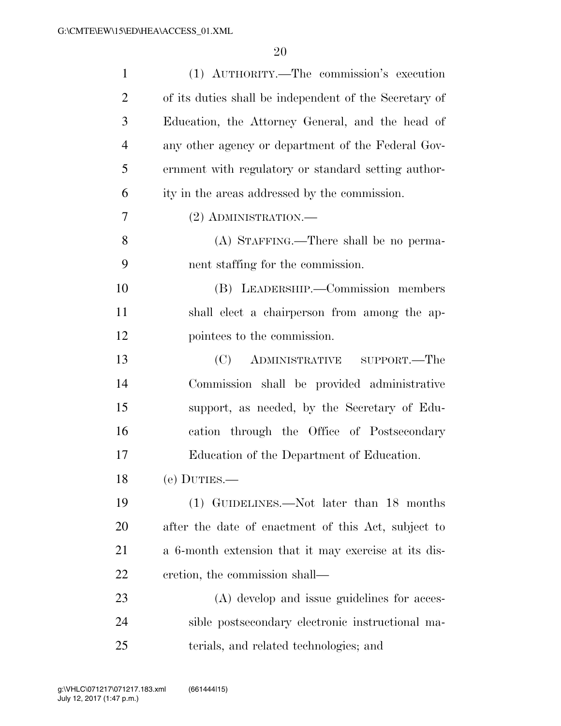| $\mathbf{1}$   | (1) AUTHORITY.—The commission's execution              |
|----------------|--------------------------------------------------------|
| $\overline{2}$ | of its duties shall be independent of the Secretary of |
| 3              | Education, the Attorney General, and the head of       |
| $\overline{4}$ | any other agency or department of the Federal Gov-     |
| 5              | ernment with regulatory or standard setting author-    |
| 6              | ity in the areas addressed by the commission.          |
| 7              | (2) ADMINISTRATION.—                                   |
| 8              | (A) STAFFING.—There shall be no perma-                 |
| 9              | nent staffing for the commission.                      |
| 10             | (B) LEADERSHIP.—Commission members                     |
| 11             | shall elect a chairperson from among the ap-           |
| 12             | pointees to the commission.                            |
| 13             | (C)<br>ADMINISTRATIVE SUPPORT.—The                     |
| 14             | Commission shall be provided administrative            |
| 15             | support, as needed, by the Secretary of Edu-           |
| 16             | cation through the Office of Postsecondary             |
| 17             | Education of the Department of Education.              |
| 18             | $(e)$ DUTIES. $-$                                      |
| 19             | (1) GUIDELINES.—Not later than 18 months               |
| 20             | after the date of enactment of this Act, subject to    |
| 21             | a 6-month extension that it may exercise at its dis-   |
| 22             | cretion, the commission shall—                         |
| 23             | (A) develop and issue guidelines for acces-            |
| 24             | sible postsecondary electronic instructional ma-       |
| 25             | terials, and related technologies; and                 |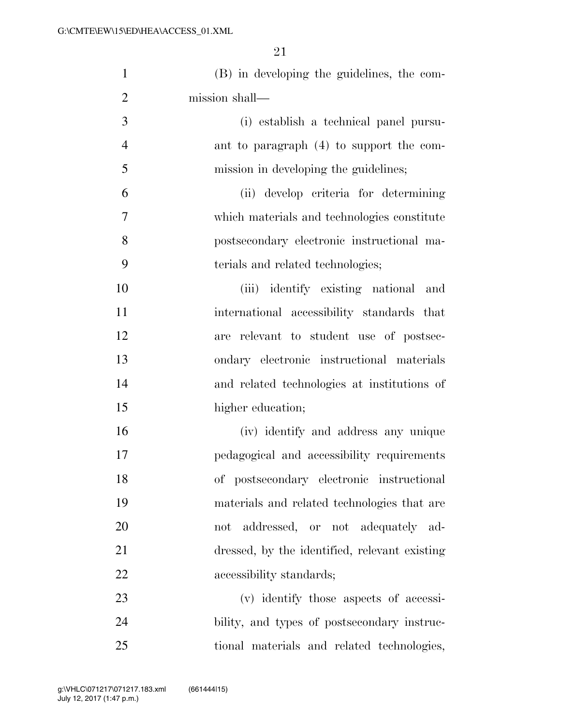| $\mathbf{1}$   | (B) in developing the guidelines, the com-    |
|----------------|-----------------------------------------------|
| $\overline{2}$ | mission shall-                                |
| 3              | (i) establish a technical panel pursu-        |
| $\overline{4}$ | ant to paragraph (4) to support the com-      |
| 5              | mission in developing the guidelines;         |
| 6              | (ii) develop criteria for determining         |
| 7              | which materials and technologies constitute   |
| 8              | postsecondary electronic instructional ma-    |
| 9              | terials and related technologies;             |
| 10             | (iii) identify existing national and          |
| 11             | international accessibility standards that    |
| 12             | are relevant to student use of postsec-       |
| 13             | ondary electronic instructional materials     |
| 14             | and related technologies at institutions of   |
| 15             | higher education;                             |
| 16             | (iv) identify and address any unique          |
| 17             | pedagogical and accessibility requirements    |
| 18             | of postsecondary electronic instructional     |
| 19             | materials and related technologies that are   |
| 20             | not addressed, or not adequately ad-          |
| 21             | dressed, by the identified, relevant existing |
| 22             | accessibility standards;                      |
| 23             | (v) identify those aspects of accessi-        |
| 24             | bility, and types of postsecondary instruc-   |
| 25             | tional materials and related technologies,    |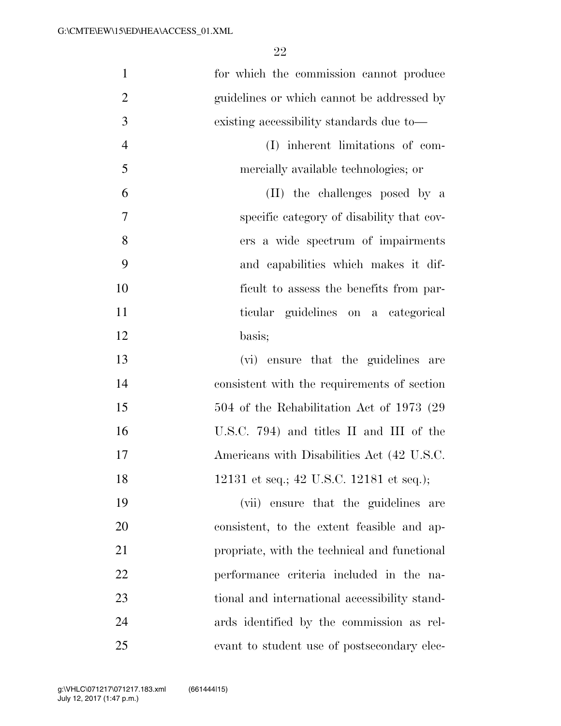| $\mathbf{1}$   | for which the commission cannot produce       |
|----------------|-----------------------------------------------|
| $\overline{2}$ | guidelines or which cannot be addressed by    |
| 3              | existing accessibility standards due to—      |
| $\overline{4}$ | (I) inherent limitations of com-              |
| 5              | mercially available technologies; or          |
| 6              | (II) the challenges posed by a                |
| $\tau$         | specific category of disability that cov-     |
| 8              | ers a wide spectrum of impairments            |
| 9              | and capabilities which makes it dif-          |
| 10             | ficult to assess the benefits from par-       |
| 11             | ticular guidelines on a categorical           |
| 12             | basis;                                        |
| 13             | (vi) ensure that the guidelines are           |
| 14             | consistent with the requirements of section   |
| 15             | 504 of the Rehabilitation Act of 1973 (29)    |
| 16             | U.S.C. 794) and titles II and III of the      |
| 17             | Americans with Disabilities Act (42 U.S.C.    |
| 18             | 12131 et seq.; 42 U.S.C. 12181 et seq.);      |
| 19             | (vii) ensure that the guidelines are          |
| 20             | consistent, to the extent feasible and ap-    |
| 21             | propriate, with the technical and functional  |
| 22             | performance criteria included in the na-      |
| 23             | tional and international accessibility stand- |
| 24             | ards identified by the commission as rel-     |
| 25             | evant to student use of postsecondary elec-   |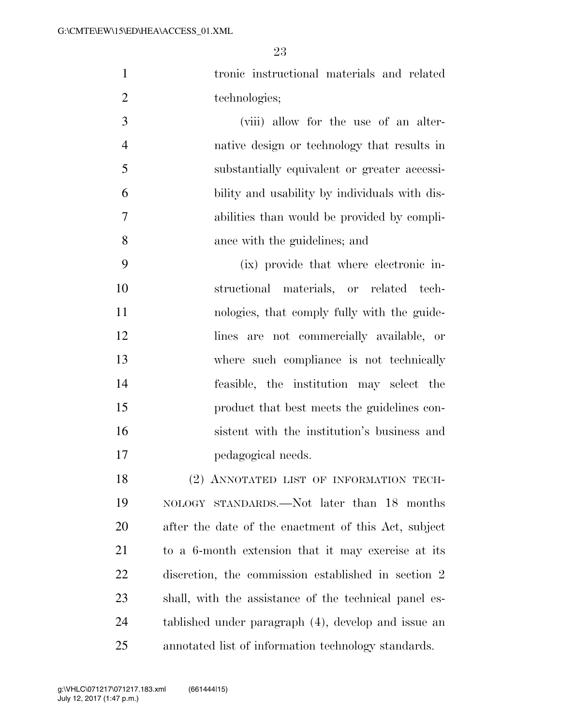tronic instructional materials and related 2 technologies;

 (viii) allow for the use of an alter- native design or technology that results in substantially equivalent or greater accessi- bility and usability by individuals with dis- abilities than would be provided by compli-ance with the guidelines; and

 (ix) provide that where electronic in- structional materials, or related tech-11 nologies, that comply fully with the guide- lines are not commercially available, or where such compliance is not technically feasible, the institution may select the product that best meets the guidelines con- sistent with the institution's business and pedagogical needs.

18 (2) ANNOTATED LIST OF INFORMATION TECH- NOLOGY STANDARDS.—Not later than 18 months after the date of the enactment of this Act, subject to a 6-month extension that it may exercise at its discretion, the commission established in section 2 shall, with the assistance of the technical panel es- tablished under paragraph (4), develop and issue an annotated list of information technology standards.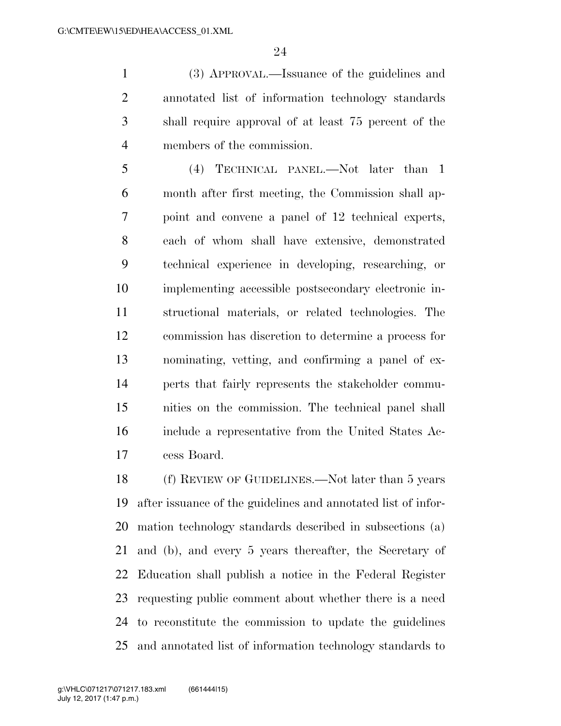(3) APPROVAL.—Issuance of the guidelines and annotated list of information technology standards shall require approval of at least 75 percent of the members of the commission.

 (4) TECHNICAL PANEL.—Not later than 1 month after first meeting, the Commission shall ap- point and convene a panel of 12 technical experts, each of whom shall have extensive, demonstrated technical experience in developing, researching, or implementing accessible postsecondary electronic in- structional materials, or related technologies. The commission has discretion to determine a process for nominating, vetting, and confirming a panel of ex- perts that fairly represents the stakeholder commu- nities on the commission. The technical panel shall include a representative from the United States Ac-cess Board.

 (f) REVIEW OF GUIDELINES.—Not later than 5 years after issuance of the guidelines and annotated list of infor- mation technology standards described in subsections (a) and (b), and every 5 years thereafter, the Secretary of Education shall publish a notice in the Federal Register requesting public comment about whether there is a need to reconstitute the commission to update the guidelines and annotated list of information technology standards to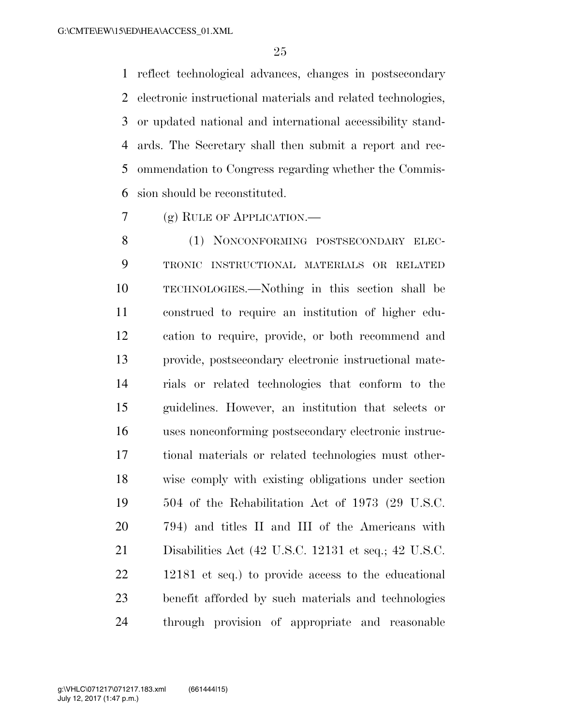reflect technological advances, changes in postsecondary electronic instructional materials and related technologies, or updated national and international accessibility stand- ards. The Secretary shall then submit a report and rec- ommendation to Congress regarding whether the Commis-sion should be reconstituted.

(g) RULE OF APPLICATION.—

8 (1) NONCONFORMING POSTSECONDARY ELEC- TRONIC INSTRUCTIONAL MATERIALS OR RELATED TECHNOLOGIES.—Nothing in this section shall be construed to require an institution of higher edu- cation to require, provide, or both recommend and provide, postsecondary electronic instructional mate- rials or related technologies that conform to the guidelines. However, an institution that selects or uses nonconforming postsecondary electronic instruc- tional materials or related technologies must other- wise comply with existing obligations under section 504 of the Rehabilitation Act of 1973 (29 U.S.C. 794) and titles II and III of the Americans with Disabilities Act (42 U.S.C. 12131 et seq.; 42 U.S.C. 12181 et seq.) to provide access to the educational benefit afforded by such materials and technologies through provision of appropriate and reasonable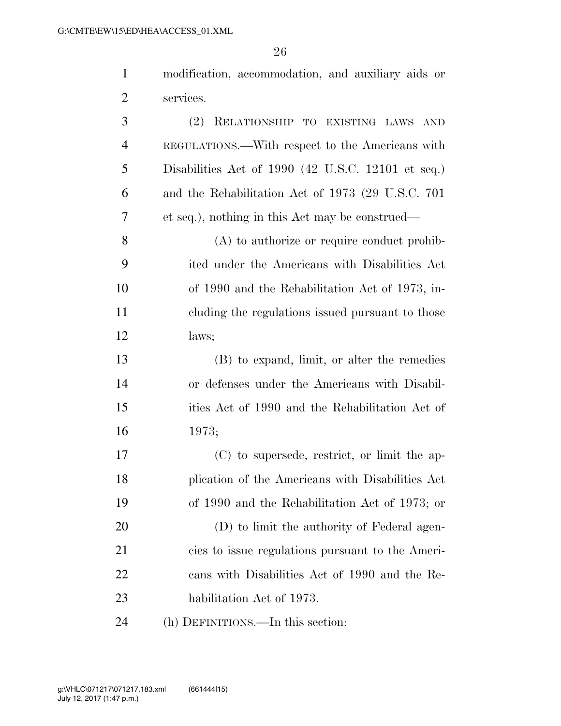| $\mathbf{1}$   | modification, accommodation, and auxiliary aids or |
|----------------|----------------------------------------------------|
| $\overline{2}$ | services.                                          |
| 3              | (2)<br>RELATIONSHIP TO EXISTING LAWS AND           |
| $\overline{4}$ | REGULATIONS.—With respect to the Americans with    |
| 5              | Disabilities Act of 1990 (42 U.S.C. 12101 et seq.) |
| 6              | and the Rehabilitation Act of 1973 (29 U.S.C. 701) |
| 7              | et seq.), nothing in this Act may be construed—    |
| 8              | $(A)$ to authorize or require conduct prohib-      |
| 9              | ited under the Americans with Disabilities Act     |
| 10             | of 1990 and the Rehabilitation Act of 1973, in-    |
| 11             | cluding the regulations issued pursuant to those   |
| 12             | laws;                                              |
| 13             | (B) to expand, limit, or alter the remedies        |
| 14             | or defenses under the Americans with Disabil-      |
| 15             | ities Act of 1990 and the Rehabilitation Act of    |
| 16             | 1973;                                              |
| 17             | (C) to supersede, restrict, or limit the ap-       |
| 18             | plication of the Americans with Disabilities Act   |
| 19             | of 1990 and the Rehabilitation Act of 1973; or     |
| 20             | (D) to limit the authority of Federal agen-        |
| 21             | cies to issue regulations pursuant to the Ameri-   |
| 22             | cans with Disabilities Act of 1990 and the Re-     |
| 23             | habilitation Act of 1973.                          |
| 24             | (h) DEFINITIONS.—In this section:                  |
|                |                                                    |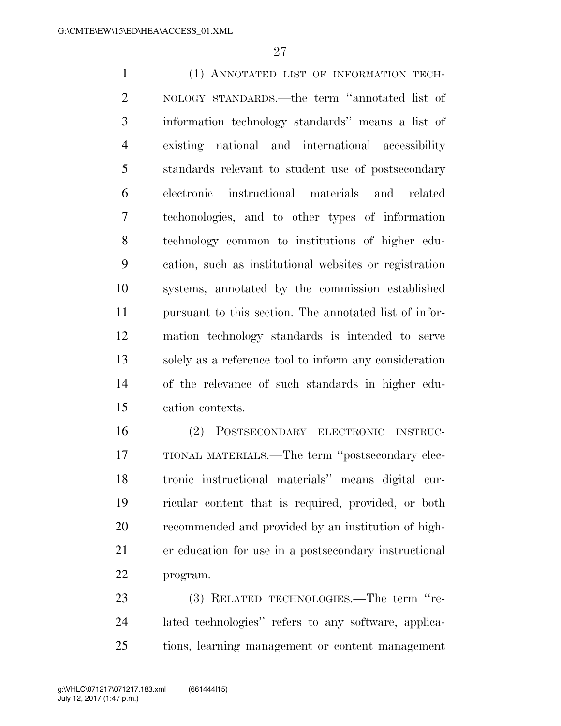(1) ANNOTATED LIST OF INFORMATION TECH- NOLOGY STANDARDS.—the term ''annotated list of information technology standards'' means a list of existing national and international accessibility standards relevant to student use of postsecondary electronic instructional materials and related techonologies, and to other types of information technology common to institutions of higher edu- cation, such as institutional websites or registration systems, annotated by the commission established pursuant to this section. The annotated list of infor- mation technology standards is intended to serve solely as a reference tool to inform any consideration of the relevance of such standards in higher edu-cation contexts.

 (2) POSTSECONDARY ELECTRONIC INSTRUC- TIONAL MATERIALS.—The term ''postsecondary elec- tronic instructional materials'' means digital cur- ricular content that is required, provided, or both recommended and provided by an institution of high- er education for use in a postsecondary instructional program.

23 (3) RELATED TECHNOLOGIES.—The term "re- lated technologies'' refers to any software, applica-tions, learning management or content management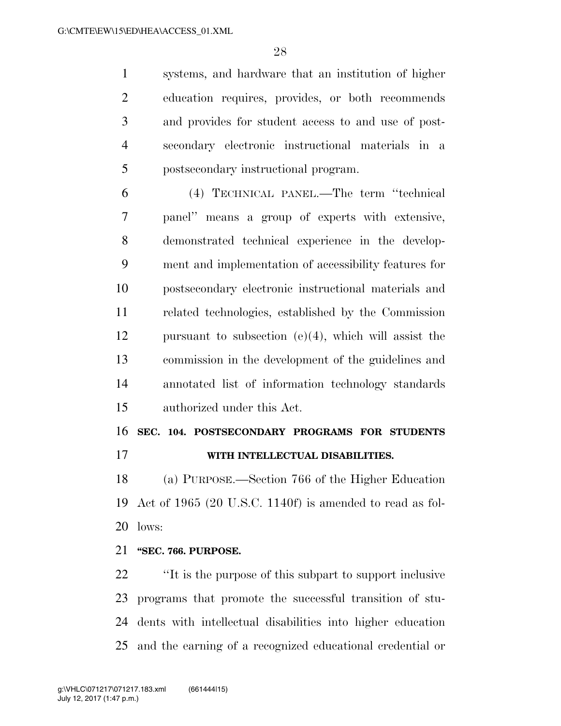systems, and hardware that an institution of higher education requires, provides, or both recommends and provides for student access to and use of post- secondary electronic instructional materials in a postsecondary instructional program.

 (4) TECHNICAL PANEL.—The term ''technical panel'' means a group of experts with extensive, demonstrated technical experience in the develop- ment and implementation of accessibility features for postsecondary electronic instructional materials and related technologies, established by the Commission pursuant to subsection (e)(4), which will assist the commission in the development of the guidelines and annotated list of information technology standards authorized under this Act.

**SEC. 104. POSTSECONDARY PROGRAMS FOR STUDENTS** 

**WITH INTELLECTUAL DISABILITIES.** 

 (a) PURPOSE.—Section 766 of the Higher Education Act of 1965 (20 U.S.C. 1140f) is amended to read as fol-lows:

#### **''SEC. 766. PURPOSE.**

 ''It is the purpose of this subpart to support inclusive programs that promote the successful transition of stu- dents with intellectual disabilities into higher education and the earning of a recognized educational credential or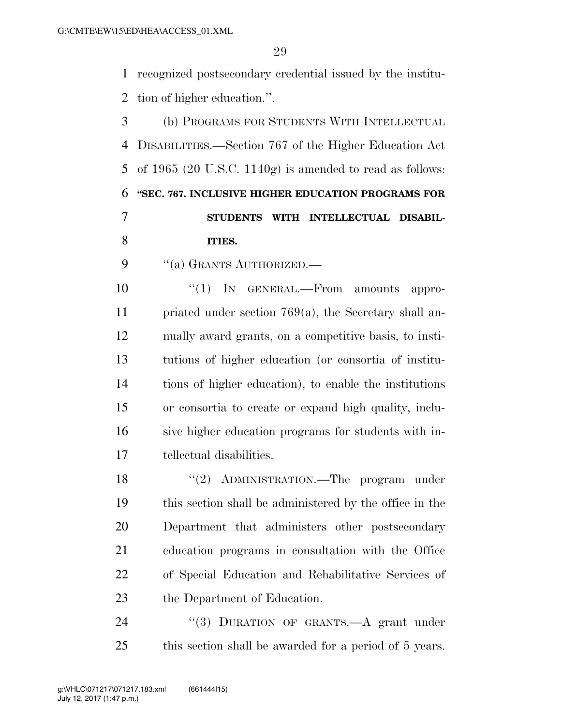recognized postsecondary credential issued by the institu-tion of higher education.''.

 (b) PROGRAMS FOR STUDENTS WITH INTELLECTUAL DISABILITIES.—Section 767 of the Higher Education Act of 1965 (20 U.S.C. 1140g) is amended to read as follows: **''SEC. 767. INCLUSIVE HIGHER EDUCATION PROGRAMS FOR STUDENTS WITH INTELLECTUAL DISABIL-ITIES.** 

9 "(a) GRANTS AUTHORIZED.—

 $\frac{10}{10}$  IN GENERAL.—From amounts appro- priated under section 769(a), the Secretary shall an- nually award grants, on a competitive basis, to insti- tutions of higher education (or consortia of institu- tions of higher education), to enable the institutions or consortia to create or expand high quality, inclu- sive higher education programs for students with in-tellectual disabilities.

18 "(2) ADMINISTRATION.—The program under this section shall be administered by the office in the Department that administers other postsecondary education programs in consultation with the Office of Special Education and Rehabilitative Services of the Department of Education.

24 "(3) DURATION OF GRANTS.—A grant under this section shall be awarded for a period of 5 years.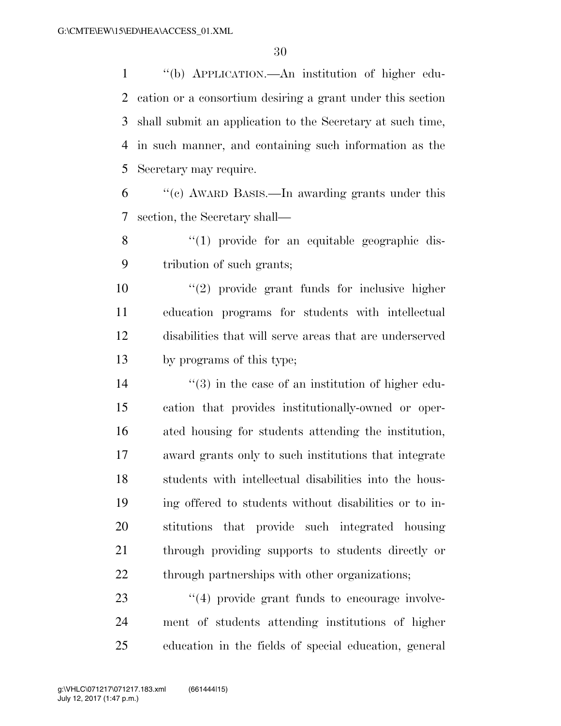''(b) APPLICATION.—An institution of higher edu- cation or a consortium desiring a grant under this section shall submit an application to the Secretary at such time, in such manner, and containing such information as the Secretary may require.

 ''(c) AWARD BASIS.—In awarding grants under this section, the Secretary shall—

8 "(1) provide for an equitable geographic dis-tribution of such grants;

 ''(2) provide grant funds for inclusive higher education programs for students with intellectual disabilities that will serve areas that are underserved by programs of this type;

 $\frac{14}{2}$  ''(3) in the case of an institution of higher edu- cation that provides institutionally-owned or oper- ated housing for students attending the institution, award grants only to such institutions that integrate students with intellectual disabilities into the hous- ing offered to students without disabilities or to in- stitutions that provide such integrated housing through providing supports to students directly or 22 through partnerships with other organizations;

23  $\frac{4}{4}$  provide grant funds to encourage involve- ment of students attending institutions of higher education in the fields of special education, general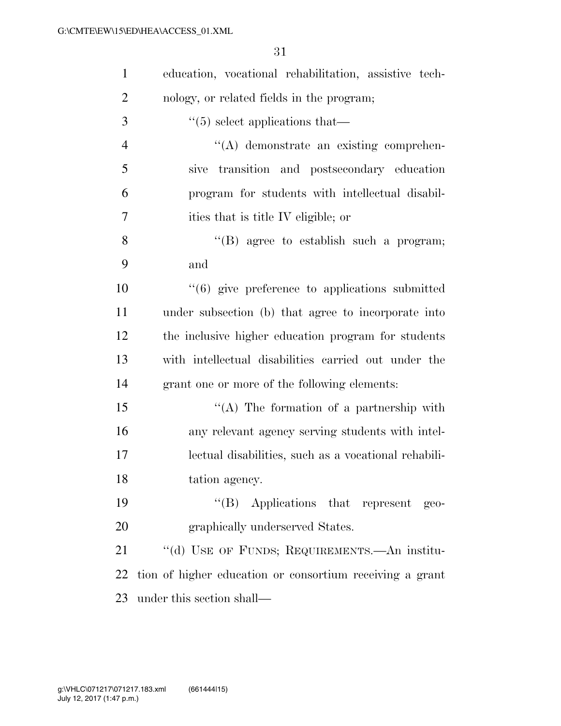| $\mathbf{1}$   | education, vocational rehabilitation, assistive tech-          |
|----------------|----------------------------------------------------------------|
| $\overline{2}$ | nology, or related fields in the program;                      |
| 3              | $\cdot\cdot$ (5) select applications that—                     |
| $\overline{4}$ | $\lq\lq$ demonstrate an existing comprehen-                    |
| 5              | transition and postsecondary education<br>sive                 |
| 6              | program for students with intellectual disabil-                |
| 7              | ities that is title IV eligible; or                            |
| 8              | $\lq\lq$ agree to establish such a program;                    |
| 9              | and                                                            |
| 10             | $\cdot\cdot\cdot(6)$ give preference to applications submitted |
| 11             | under subsection (b) that agree to incorporate into            |
| 12             | the inclusive higher education program for students            |
| 13             | with intellectual disabilities carried out under the           |
| 14             | grant one or more of the following elements:                   |
| 15             | "(A) The formation of a partnership with                       |
| 16             | any relevant agency serving students with intel-               |
| 17             | lectual disabilities, such as a vocational rehabili-           |
| 18             | tation agency.                                                 |
| 19             | "(B) Applications that represent geo-                          |
| 20             | graphically underserved States.                                |
| 21             | "(d) USE OF FUNDS; REQUIREMENTS.—An institu-                   |
| 22             | tion of higher education or consortium receiving a grant       |
| 23             | under this section shall—                                      |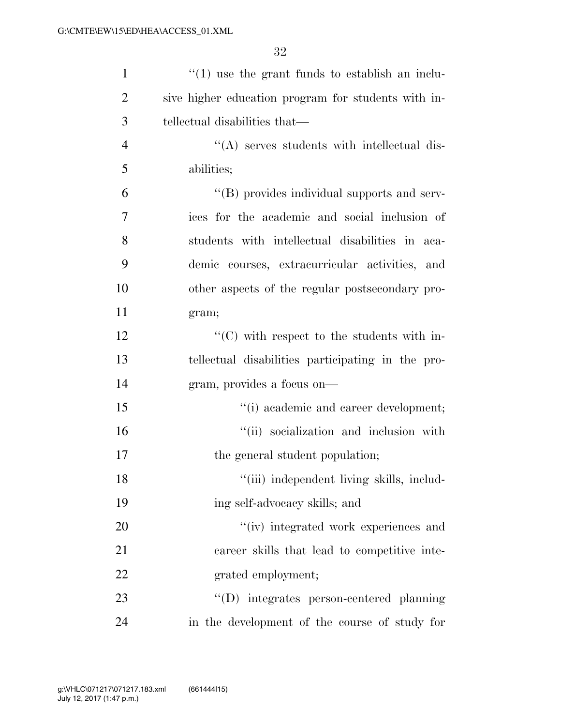| $\mathbf{1}$   | $\cdot$ (1) use the grant funds to establish an inclu- |
|----------------|--------------------------------------------------------|
| $\overline{2}$ | sive higher education program for students with in-    |
| 3              | tellectual disabilities that—                          |
| $\overline{4}$ | "(A) serves students with intellectual dis-            |
| 5              | abilities;                                             |
| 6              | "(B) provides individual supports and serv-            |
| 7              | ices for the academic and social inclusion of          |
| 8              | students with intellectual disabilities in aca-        |
| 9              | demic courses, extracurricular activities, and         |
| 10             | other aspects of the regular postsecondary pro-        |
| 11             | gram;                                                  |
| 12             | "(C) with respect to the students with in-             |
| 13             | tellectual disabilities participating in the pro-      |
| 14             | gram, provides a focus on—                             |
| 15             | "(i) academic and career development;                  |
| 16             | "(ii) socialization and inclusion with                 |
| 17             | the general student population;                        |
| 18             | "(iii) independent living skills, includ-              |
| 19             | ing self-advocacy skills; and                          |
| 20             | "(iv) integrated work experiences and                  |
| 21             | career skills that lead to competitive inte-           |
| 22             | grated employment;                                     |
| 23             | "(D) integrates person-centered planning               |
| 24             | in the development of the course of study for          |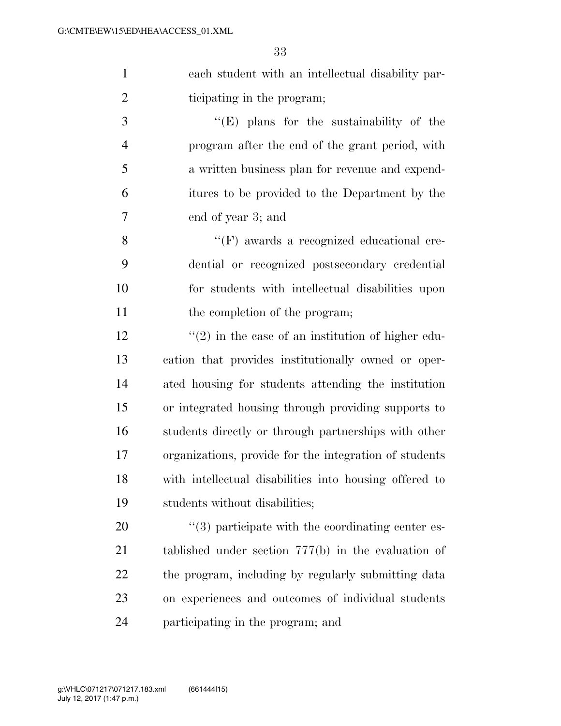each student with an intellectual disability par-ticipating in the program;

 ''(E) plans for the sustainability of the program after the end of the grant period, with a written business plan for revenue and expend- itures to be provided to the Department by the end of year 3; and

8 ''(F) awards a recognized educational cre- dential or recognized postsecondary credential for students with intellectual disabilities upon 11 the completion of the program;

 $\frac{12}{2}$  ''(2) in the case of an institution of higher edu- cation that provides institutionally owned or oper- ated housing for students attending the institution or integrated housing through providing supports to students directly or through partnerships with other organizations, provide for the integration of students with intellectual disabilities into housing offered to students without disabilities;

 $\frac{1}{20}$  articipate with the coordinating center es- tablished under section 777(b) in the evaluation of the program, including by regularly submitting data on experiences and outcomes of individual students participating in the program; and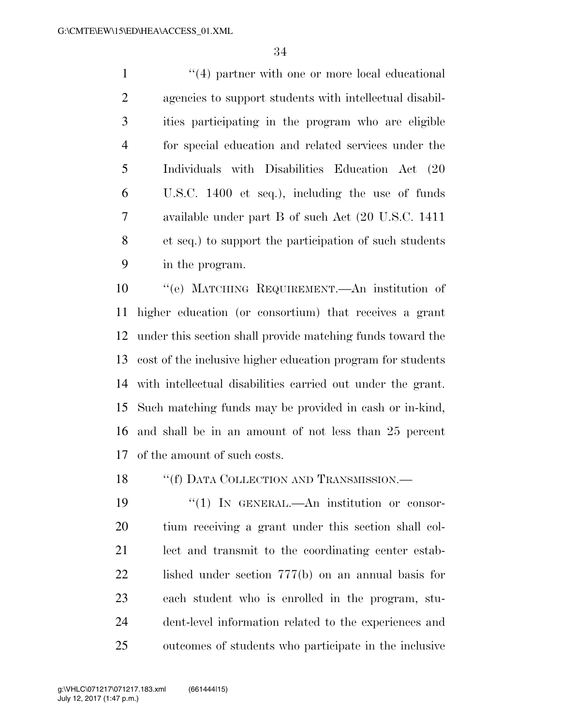1 ''(4) partner with one or more local educational agencies to support students with intellectual disabil- ities participating in the program who are eligible for special education and related services under the Individuals with Disabilities Education Act (20 U.S.C. 1400 et seq.), including the use of funds available under part B of such Act (20 U.S.C. 1411 et seq.) to support the participation of such students in the program.

 ''(e) MATCHING REQUIREMENT.—An institution of higher education (or consortium) that receives a grant under this section shall provide matching funds toward the cost of the inclusive higher education program for students with intellectual disabilities carried out under the grant. Such matching funds may be provided in cash or in-kind, and shall be in an amount of not less than 25 percent of the amount of such costs.

18 "(f) DATA COLLECTION AND TRANSMISSION.—

 $\frac{1}{2}$  IN GENERAL.—An institution or consor- tium receiving a grant under this section shall col- lect and transmit to the coordinating center estab- lished under section 777(b) on an annual basis for each student who is enrolled in the program, stu- dent-level information related to the experiences and outcomes of students who participate in the inclusive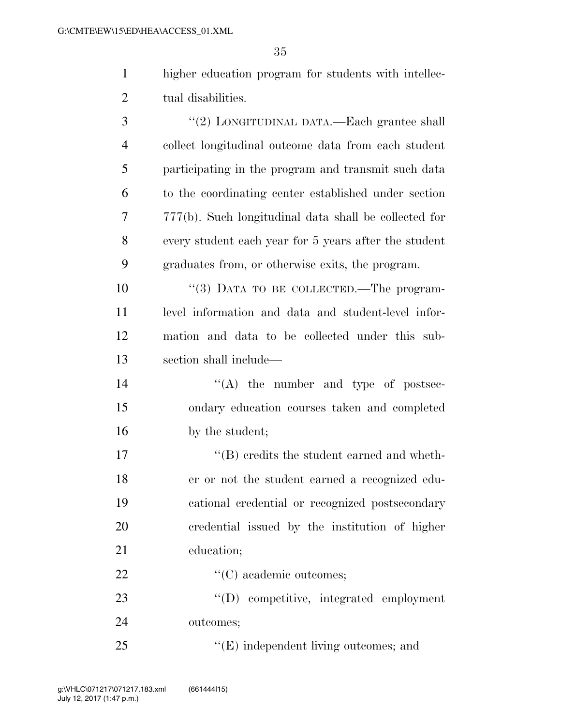higher education program for students with intellec-2 tual disabilities.

| 3 | "(2) LONGITUDINAL DATA.—Each grantee shall            |
|---|-------------------------------------------------------|
| 4 | collect longitudinal outcome data from each student   |
| 5 | participating in the program and transmit such data   |
| 6 | to the coordinating center established under section  |
| 7 | 777(b). Such longitudinal data shall be collected for |
| 8 | every student each year for 5 years after the student |
| 9 | graduates from, or otherwise exits, the program.      |

 $(3)$  DATA TO BE COLLECTED.—The program- level information and data and student-level infor- mation and data to be collected under this sub-section shall include—

14  $\langle A \rangle$  the number and type of postsec- ondary education courses taken and completed 16 by the student;

 $\text{``(B)}$  credits the student earned and wheth- er or not the student earned a recognized edu- cational credential or recognized postsecondary credential issued by the institution of higher education;

22  $\cdot$  (C) academic outcomes;

 ''(D) competitive, integrated employment outcomes;

25  $\text{``(E)}$  independent living outcomes; and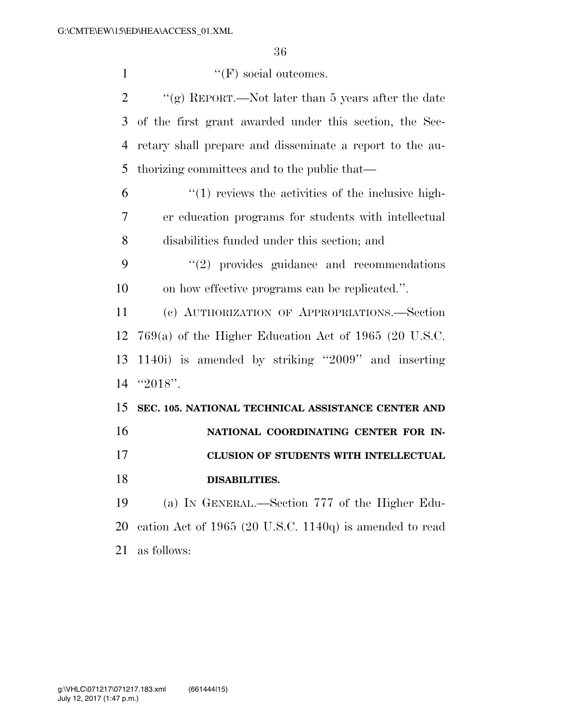$''(F)$  social outcomes.  $\gamma$  (g) REPORT.—Not later than 5 years after the date of the first grant awarded under this section, the Sec- retary shall prepare and disseminate a report to the au- thorizing committees and to the public that—  $(1)$  reviews the activities of the inclusive high- er education programs for students with intellectual disabilities funded under this section; and ''(2) provides guidance and recommendations on how effective programs can be replicated.''. (c) AUTHORIZATION OF APPROPRIATIONS.—Section 769(a) of the Higher Education Act of 1965 (20 U.S.C. 1140i) is amended by striking ''2009'' and inserting ''2018''. **SEC. 105. NATIONAL TECHNICAL ASSISTANCE CENTER AND NATIONAL COORDINATING CENTER FOR IN- CLUSION OF STUDENTS WITH INTELLECTUAL DISABILITIES.**  (a) IN GENERAL.—Section 777 of the Higher Edu- cation Act of 1965 (20 U.S.C. 1140q) is amended to read as follows: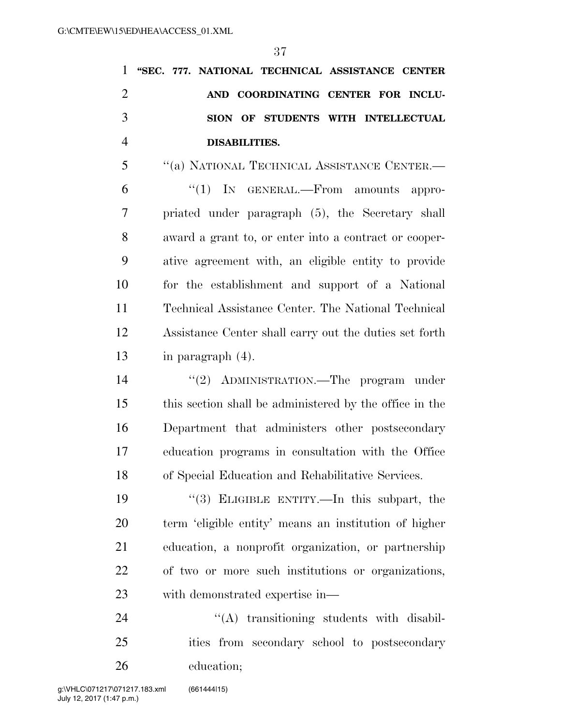|                |  |                      | 1 "SEC. 777. NATIONAL TECHNICAL ASSISTANCE CENTER |  |  |
|----------------|--|----------------------|---------------------------------------------------|--|--|
| 2              |  |                      | AND COORDINATING CENTER FOR INCLU-                |  |  |
| 3              |  |                      | SION OF STUDENTS WITH INTELLECTUAL                |  |  |
| $\overline{4}$ |  | <b>DISABILITIES.</b> |                                                   |  |  |

 ''(a) NATIONAL TECHNICAL ASSISTANCE CENTER.— ''(1) IN GENERAL.—From amounts appro- priated under paragraph (5), the Secretary shall award a grant to, or enter into a contract or cooper- ative agreement with, an eligible entity to provide for the establishment and support of a National Technical Assistance Center. The National Technical Assistance Center shall carry out the duties set forth in paragraph (4).

14 "(2) ADMINISTRATION.—The program under this section shall be administered by the office in the Department that administers other postsecondary education programs in consultation with the Office of Special Education and Rehabilitative Services.

 ''(3) ELIGIBLE ENTITY.—In this subpart, the term 'eligible entity' means an institution of higher education, a nonprofit organization, or partnership of two or more such institutions or organizations, with demonstrated expertise in—

24 "'(A) transitioning students with disabil- ities from secondary school to postsecondary education;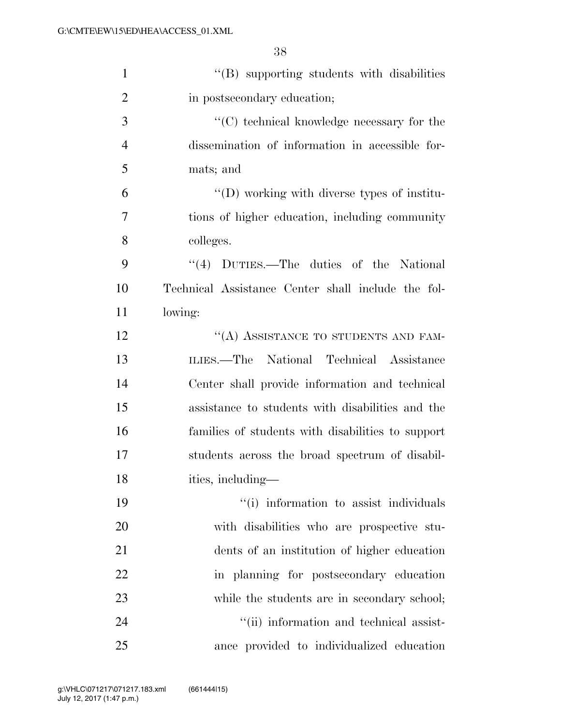| $\mathbf{1}$   | $\lq\lq$ supporting students with disabilities     |
|----------------|----------------------------------------------------|
| $\overline{2}$ | in postsecondary education;                        |
| 3              | $\lq\lq$ (C) technical knowledge necessary for the |
| $\overline{4}$ | dissemination of information in accessible for-    |
| 5              | mats; and                                          |
| 6              | $\lq\lq$ working with diverse types of institu-    |
| 7              | tions of higher education, including community     |
| 8              | colleges.                                          |
| 9              | $\cdot$ (4) DUTIES.—The duties of the National     |
| 10             | Technical Assistance Center shall include the fol- |
| 11             | lowing:                                            |
| 12             | "(A) ASSISTANCE TO STUDENTS AND FAM-               |
| 13             | ILIES.—The National Technical Assistance           |
| 14             | Center shall provide information and technical     |
| 15             | assistance to students with disabilities and the   |
| 16             | families of students with disabilities to support  |
| 17             | students across the broad spectrum of disabil-     |
| 18             | ities, including-                                  |
| 19             | "(i) information to assist individuals             |
| 20             | with disabilities who are prospective stu-         |
| 21             | dents of an institution of higher education        |
| 22             | in planning for postsecondary education            |
| 23             | while the students are in secondary school;        |
| 24             | "(ii) information and technical assist-            |
| 25             | ance provided to individualized education          |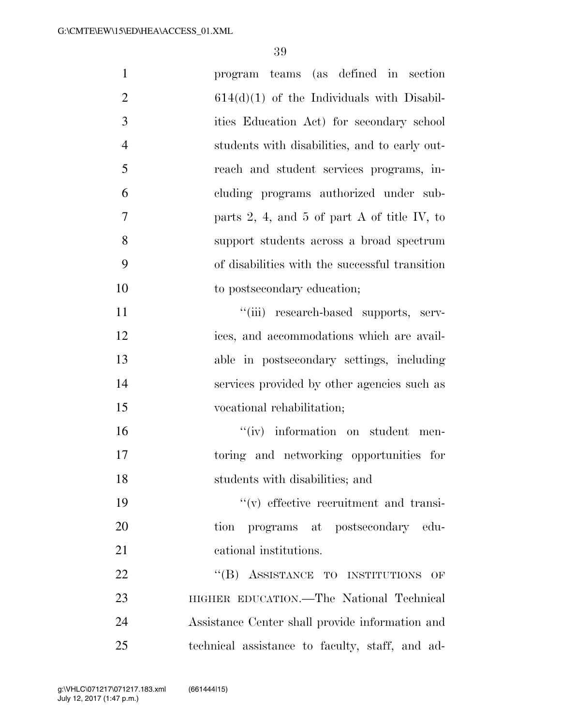| $\mathbf{1}$   | program teams (as defined in section                      |
|----------------|-----------------------------------------------------------|
| $\overline{2}$ | $614(d)(1)$ of the Individuals with Disabil-              |
| 3              | ities Education Act) for secondary school                 |
| $\overline{4}$ | students with disabilities, and to early out-             |
| 5              | reach and student services programs, in-                  |
| 6              | cluding programs authorized under sub-                    |
| $\overline{7}$ | parts 2, 4, and 5 of part A of title IV, to               |
| 8              | support students across a broad spectrum                  |
| 9              | of disabilities with the successful transition            |
| 10             | to postsecondary education;                               |
| 11             | "(iii) research-based supports, serv-                     |
| 12             | ices, and accommodations which are avail-                 |
| 13             | able in postsecondary settings, including                 |
| 14             | services provided by other agencies such as               |
| 15             | vocational rehabilitation;                                |
| 16             | "(iv) information on student men-                         |
| 17             | toring and networking opportunities for                   |
| 18             | students with disabilities; and                           |
| 19             | $f'(v)$ effective recruitment and transi-                 |
| 20             | programs at postsecondary edu-<br>tion                    |
| 21             | cational institutions.                                    |
| 22             | "(B) ASSISTANCE TO INSTITUTIONS<br>$\overline{\text{OF}}$ |
| 23             | HIGHER EDUCATION.—The National Technical                  |
| 24             | Assistance Center shall provide information and           |
| 25             | technical assistance to faculty, staff, and ad-           |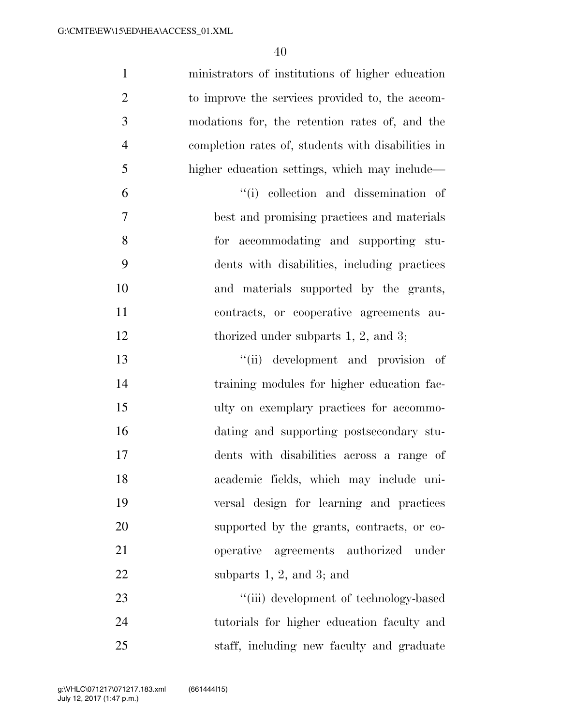| $\mathbf{1}$   | ministrators of institutions of higher education   |
|----------------|----------------------------------------------------|
| $\overline{2}$ | to improve the services provided to, the accom-    |
| 3              | modations for, the retention rates of, and the     |
| $\overline{4}$ | completion rates of, students with disabilities in |
| 5              | higher education settings, which may include—      |
| 6              | "(i) collection and dissemination of               |
| 7              | best and promising practices and materials         |
| 8              | for accommodating and supporting stu-              |
| 9              | dents with disabilities, including practices       |
| 10             | and materials supported by the grants,             |
| 11             | contracts, or cooperative agreements au-           |
| 12             | thorized under subparts $1, 2$ , and $3$ ;         |
| 13             | "(ii) development and provision of                 |
| 14             | training modules for higher education fac-         |
| 15             | ulty on exemplary practices for accommo-           |
| 16             | dating and supporting postsecondary stu-           |
| 17             | dents with disabilities across a range of          |
| 18             | academic fields, which may include uni-            |
| 19             | versal design for learning and practices           |
| 20             | supported by the grants, contracts, or co-         |
| 21             | operative agreements authorized under              |
| 22             | subparts $1, 2,$ and $3$ ; and                     |
| 23             | "(iii) development of technology-based             |
| 24             | tutorials for higher education faculty and         |
| 25             | staff, including new faculty and graduate          |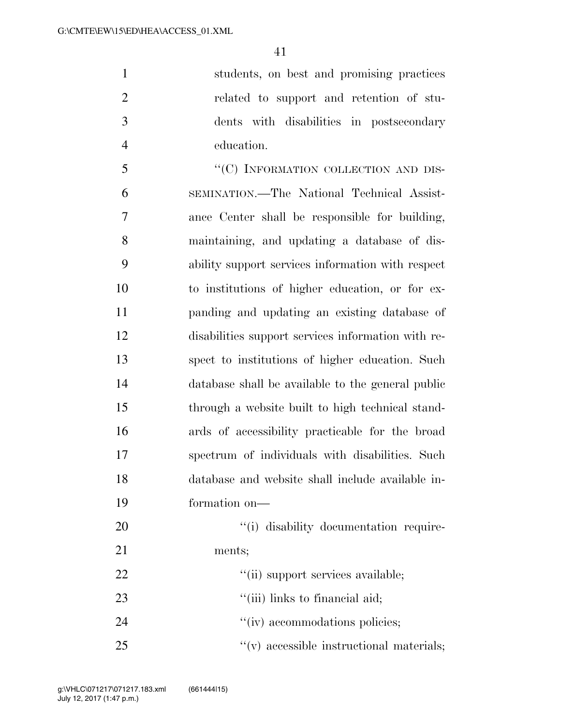students, on best and promising practices related to support and retention of stu- dents with disabilities in postsecondary education.

5 "<sup>"</sup>(C) INFORMATION COLLECTION AND DIS- SEMINATION.—The National Technical Assist- ance Center shall be responsible for building, maintaining, and updating a database of dis- ability support services information with respect to institutions of higher education, or for ex- panding and updating an existing database of disabilities support services information with re- spect to institutions of higher education. Such database shall be available to the general public through a website built to high technical stand- ards of accessibility practicable for the broad spectrum of individuals with disabilities. Such database and website shall include available in-formation on—

20  $\frac{1}{1}$  disability documentation require- ments; 22  $\frac{1}{1}$  support services available;

- 23  $\frac{1}{\sin}$  links to financial aid;
- 24  $''(iv)$  accommodations policies;
- 25  $\frac{1}{25}$   $\frac{1}{25}$   $\frac{1}{25}$   $\frac{1}{25}$   $\frac{1}{25}$   $\frac{1}{25}$   $\frac{1}{25}$   $\frac{1}{25}$   $\frac{1}{25}$   $\frac{1}{25}$   $\frac{1}{25}$   $\frac{1}{25}$   $\frac{1}{25}$   $\frac{1}{25}$   $\frac{1}{25}$   $\frac{1}{25}$   $\frac{1}{25}$   $\frac{1}{25}$   $\frac{1}{25}$   $\frac{1}{25}$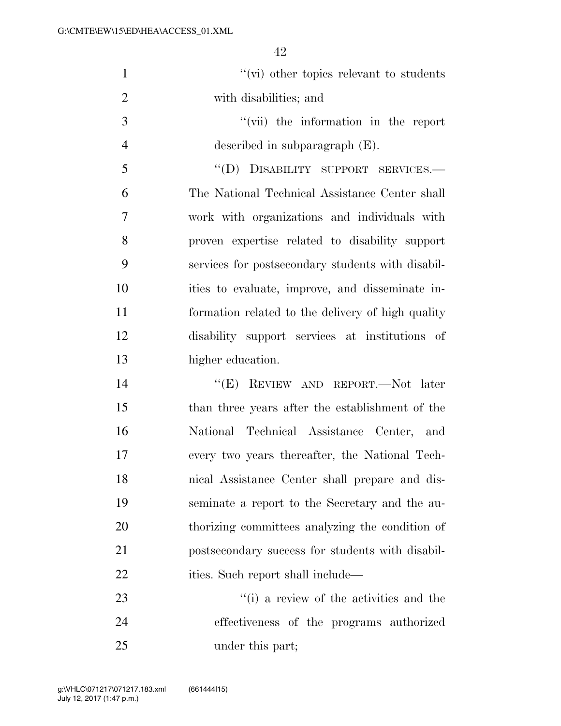| $\mathbf{1}$   | $\lq\lq$ (vi) other topics relevant to students   |
|----------------|---------------------------------------------------|
| $\overline{2}$ | with disabilities; and                            |
| 3              | "(vii) the information in the report              |
| $\overline{4}$ | described in subparagraph $(E)$ .                 |
| 5              | "(D) DISABILITY SUPPORT SERVICES.-                |
| 6              | The National Technical Assistance Center shall    |
| $\overline{7}$ | work with organizations and individuals with      |
| 8              | proven expertise related to disability support    |
| 9              | services for postsecondary students with disabil- |
| 10             | ities to evaluate, improve, and disseminate in-   |
| 11             | formation related to the delivery of high quality |
| 12             | disability support services at institutions of    |
| 13             | higher education.                                 |
| 14             | "(E) REVIEW AND REPORT.—Not later                 |
| 15             | than three years after the establishment of the   |
| 16             | National Technical Assistance Center, and         |
| 17             | every two years thereafter, the National Tech-    |
| 18             | nical Assistance Center shall prepare and dis-    |
| 19             | seminate a report to the Secretary and the au-    |
| 20             | thorizing committees analyzing the condition of   |
| 21             | postsecondary success for students with disabil-  |
| 22             | ities. Such report shall include—                 |
| 23             | "(i) a review of the activities and the           |
| 24             | effectiveness of the programs authorized          |
|                |                                                   |

under this part;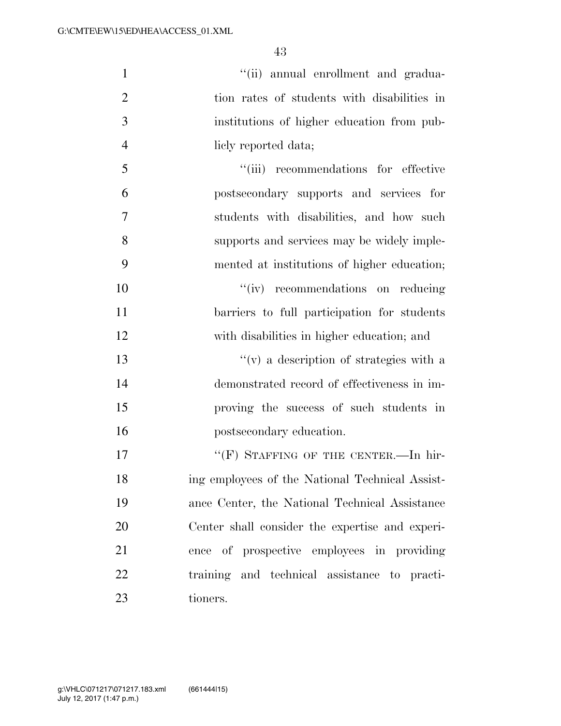| $\mathbf{1}$   | "(ii) annual enrollment and gradua-             |
|----------------|-------------------------------------------------|
| $\overline{2}$ | tion rates of students with disabilities in     |
| 3              | institutions of higher education from pub-      |
| $\overline{4}$ | liely reported data;                            |
| 5              | "(iii) recommendations for effective            |
| 6              | postsecondary supports and services for         |
| 7              | students with disabilities, and how such        |
| 8              | supports and services may be widely imple-      |
| 9              | mented at institutions of higher education;     |
| 10             | "(iv) recommendations on reducing               |
| 11             | barriers to full participation for students     |
| 12             | with disabilities in higher education; and      |
| 13             | $f'(v)$ a description of strategies with a      |
| 14             | demonstrated record of effectiveness in im-     |
| 15             | proving the success of such students in         |
| 16             | postsecondary education.                        |
| 17             | "(F) STAFFING OF THE CENTER.-In hir-            |
| 18             | ing employees of the National Technical Assist- |
| 19             | ance Center, the National Technical Assistance  |
| 20             | Center shall consider the expertise and experi- |
| 21             | ence of prospective employees in providing      |
| 22             | training and technical assistance to practi-    |
| 23             | tioners.                                        |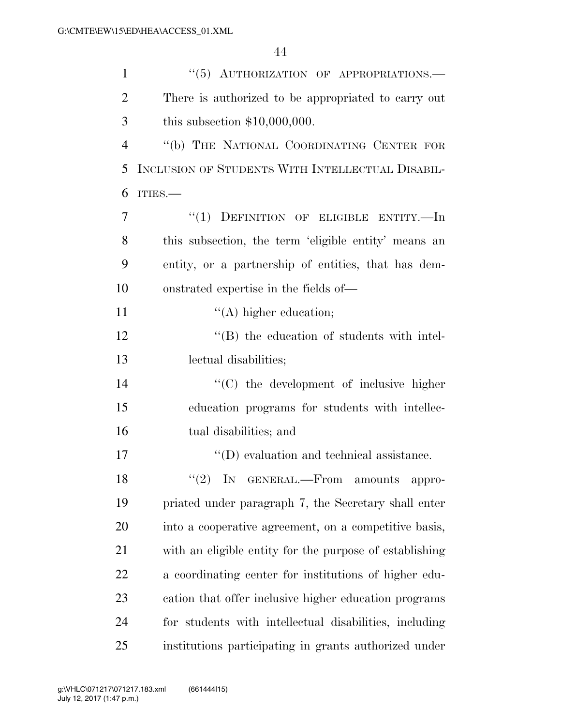| $\mathbf{1}$   | "(5) AUTHORIZATION OF APPROPRIATIONS.-                  |
|----------------|---------------------------------------------------------|
| $\overline{2}$ | There is authorized to be appropriated to carry out     |
| 3              | this subsection $$10,000,000$ .                         |
| $\overline{4}$ | "(b) THE NATIONAL COORDINATING CENTER FOR               |
| 5              | INCLUSION OF STUDENTS WITH INTELLECTUAL DISABIL-        |
| 6              | ITIES.                                                  |
| 7              | "(1) DEFINITION OF ELIGIBLE ENTITY.-In                  |
| 8              | this subsection, the term 'eligible entity' means an    |
| 9              | entity, or a partnership of entities, that has dem-     |
| 10             | onstrated expertise in the fields of—                   |
| 11             | $\lq\lq$ higher education;                              |
| 12             | "(B) the education of students with intel-              |
| 13             | lectual disabilities;                                   |
| 14             | $\cdot$ (C) the development of inclusive higher         |
| 15             | education programs for students with intellec-          |
| 16             | tual disabilities; and                                  |
| 17             | $\lq\lq$ (D) evaluation and technical assistance.       |
| 18             | $"(2)$ IN GENERAL.—From<br>amounts<br>appro-            |
| 19             | priated under paragraph 7, the Secretary shall enter    |
| 20             | into a cooperative agreement, on a competitive basis,   |
| 21             | with an eligible entity for the purpose of establishing |
| 22             | a coordinating center for institutions of higher edu-   |
| 23             | cation that offer inclusive higher education programs   |
| 24             | for students with intellectual disabilities, including  |
| 25             | institutions participating in grants authorized under   |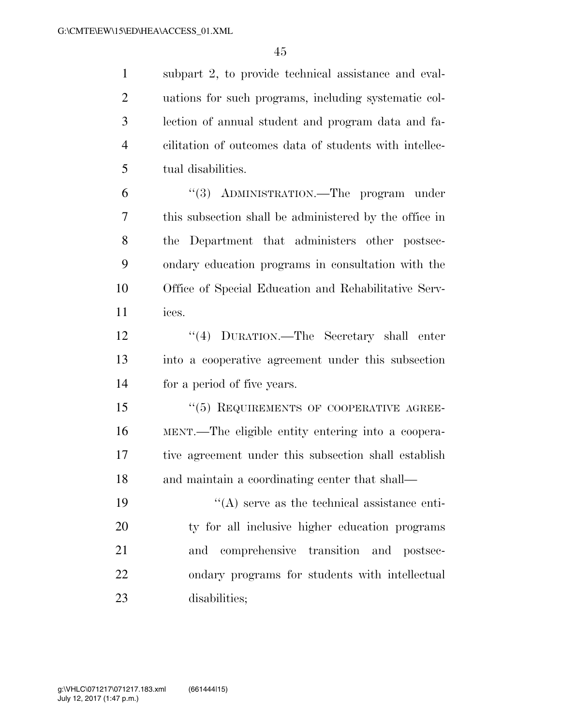subpart 2, to provide technical assistance and eval- uations for such programs, including systematic col- lection of annual student and program data and fa- cilitation of outcomes data of students with intellec-tual disabilities.

 ''(3) ADMINISTRATION.—The program under this subsection shall be administered by the office in the Department that administers other postsec- ondary education programs in consultation with the Office of Special Education and Rehabilitative Serv-ices.

 ''(4) DURATION.—The Secretary shall enter into a cooperative agreement under this subsection for a period of five years.

 ''(5) REQUIREMENTS OF COOPERATIVE AGREE- MENT.—The eligible entity entering into a coopera- tive agreement under this subsection shall establish 18 and maintain a coordinating center that shall—

 $"({\rm A})$  serve as the technical assistance enti- ty for all inclusive higher education programs and comprehensive transition and postsec- ondary programs for students with intellectual disabilities;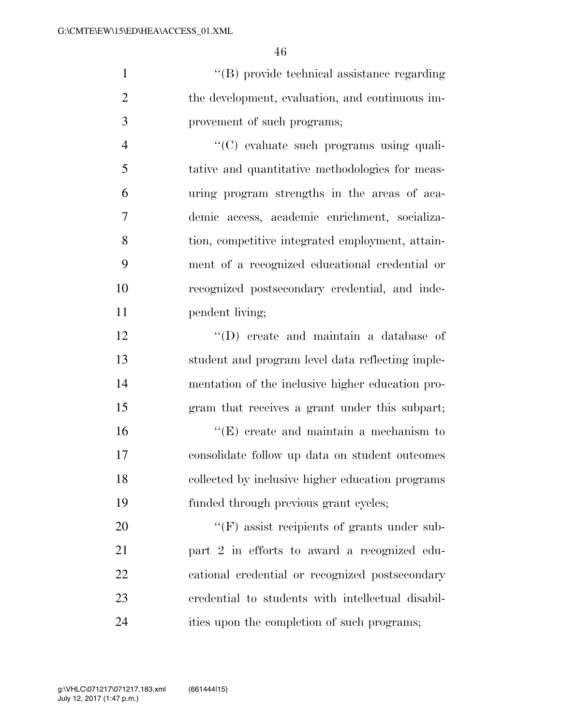''(B) provide technical assistance regarding the development, evaluation, and continuous im-provement of such programs;

 ''(C) evaluate such programs using quali- tative and quantitative methodologies for meas- uring program strengths in the areas of aca- demic access, academic enrichment, socializa- tion, competitive integrated employment, attain- ment of a recognized educational credential or recognized postsecondary credential, and inde-11 pendent living;

 ''(D) create and maintain a database of student and program level data reflecting imple- mentation of the inclusive higher education pro-gram that receives a grant under this subpart;

16 ''(E) create and maintain a mechanism to consolidate follow up data on student outcomes collected by inclusive higher education programs funded through previous grant cycles;

 $($ <sup>"</sup>(F) assist recipients of grants under sub- part 2 in efforts to award a recognized edu- cational credential or recognized postsecondary credential to students with intellectual disabil-ities upon the completion of such programs;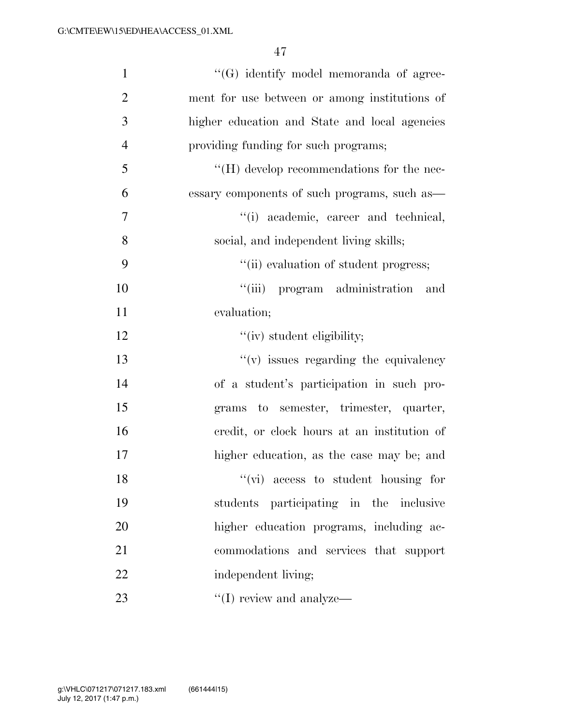| $\mathbf{1}$   | "(G) identify model memoranda of agree-           |
|----------------|---------------------------------------------------|
| $\overline{2}$ | ment for use between or among institutions of     |
| 3              | higher education and State and local agencies     |
| $\overline{4}$ | providing funding for such programs;              |
| 5              | $\lq\lq (H)$ develop recommendations for the nec- |
| 6              | essary components of such programs, such as—      |
| $\tau$         | "(i) academic, career and technical,              |
| 8              | social, and independent living skills;            |
| 9              | "(ii) evaluation of student progress;             |
| 10             | "(iii) program administration and                 |
| 11             | evaluation;                                       |
| 12             | "(iv) student eligibility;                        |
| 13             | $f'(v)$ issues regarding the equivalency          |
| 14             | of a student's participation in such pro-         |
| 15             | grams to semester, trimester, quarter,            |
| 16             | credit, or clock hours at an institution of       |
| 17             | higher education, as the case may be; and         |
| 18             | $\lq\lq$ (vi) access to student housing for       |
| 19             | students participating in the inclusive           |
| 20             | higher education programs, including ac-          |
| 21             | commodations and services that support            |
| 22             | independent living;                               |
| 23             | $\lq\lq$ (I) review and analyze—                  |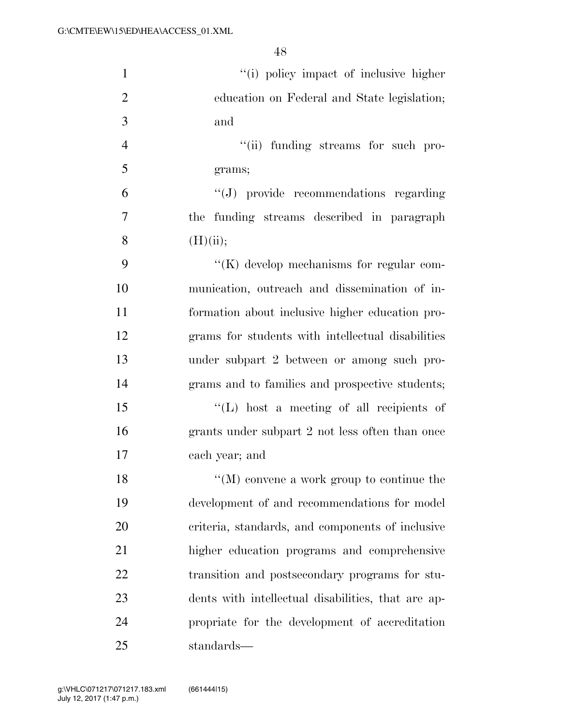| $\mathbf{1}$   | "(i) policy impact of inclusive higher             |
|----------------|----------------------------------------------------|
| $\overline{2}$ | education on Federal and State legislation;        |
| 3              | and                                                |
| $\overline{4}$ | "(ii) funding streams for such pro-                |
| 5              | grams;                                             |
| 6              | "(J) provide recommendations regarding             |
| $\overline{7}$ | the funding streams described in paragraph         |
| 8              | (H)(ii);                                           |
| 9              | $\lq\lq(K)$ develop mechanisms for regular com-    |
| 10             | munication, outreach and dissemination of in-      |
| 11             | formation about inclusive higher education pro-    |
| 12             | grams for students with intellectual disabilities  |
| 13             | under subpart 2 between or among such pro-         |
| 14             | grams and to families and prospective students;    |
| 15             | "(L) host a meeting of all recipients of           |
| 16             | grants under subpart 2 not less often than once    |
| 17             | each year; and                                     |
| 18             | $\lq\lq (M)$ convene a work group to continue the  |
| 19             | development of and recommendations for model       |
| 20             | criteria, standards, and components of inclusive   |
| 21             | higher education programs and comprehensive        |
| 22             | transition and postsecondary programs for stu-     |
| 23             | dents with intellectual disabilities, that are ap- |
| 24             | propriate for the development of accreditation     |
| 25             | standards—                                         |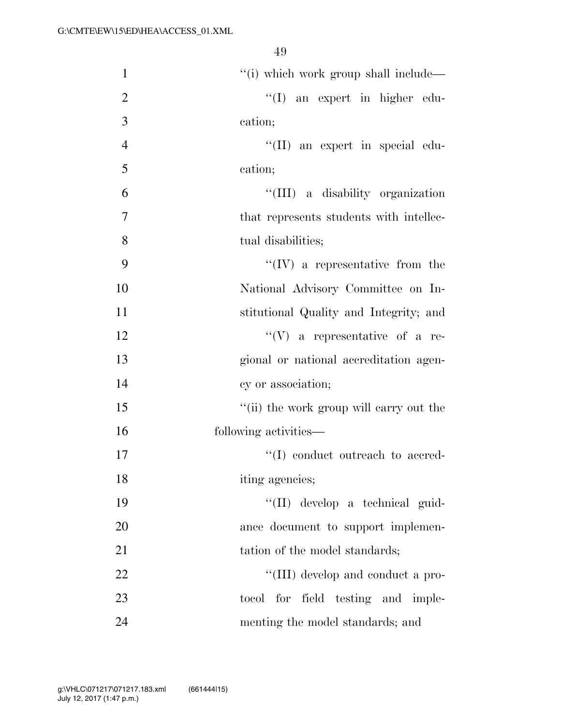| $\mathbf{1}$   | "(i) which work group shall include—     |
|----------------|------------------------------------------|
| $\overline{2}$ | "(I) an expert in higher edu-            |
| 3              | cation;                                  |
| $\overline{4}$ | "(II) an expert in special edu-          |
| 5              | cation;                                  |
| 6              | "(III) a disability organization         |
| $\overline{7}$ | that represents students with intellec-  |
| 8              | tual disabilities;                       |
| 9              | $\lq\lq (IV)$ a representative from the  |
| 10             | National Advisory Committee on In-       |
| 11             | stitutional Quality and Integrity; and   |
| 12             | $\lq\lq(V)$ a representative of a re-    |
| 13             | gional or national accreditation agen-   |
| 14             | cy or association;                       |
| 15             | "(ii) the work group will carry out the  |
| 16             | following activities—                    |
| 17             | $\lq\lq$ (I) conduct outreach to accred- |
| 18             | iting agencies;                          |
| 19             | "(II) develop a technical guid-          |
| 20             | ance document to support implemen-       |
| 21             | tation of the model standards;           |
| 22             | "(III) develop and conduct a pro-        |
| 23             | tocol for field testing and imple-       |
| 24             | menting the model standards; and         |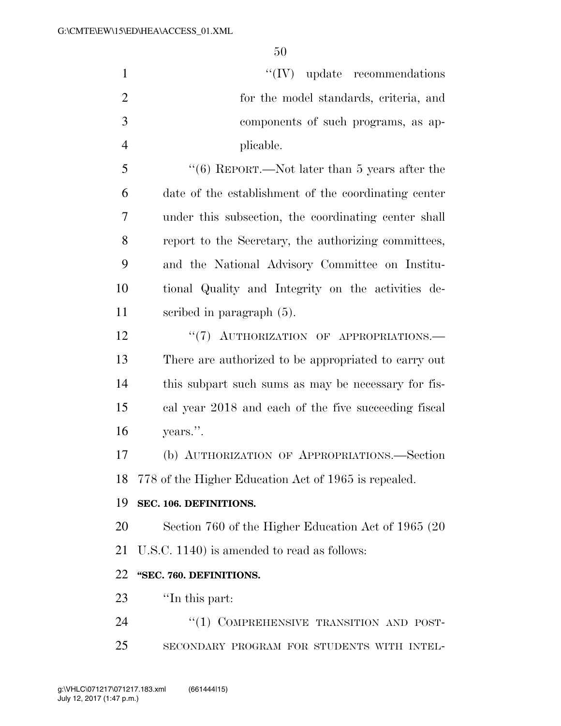| $\mathbf{1}$   | $``(IV)$ update recommendations                      |
|----------------|------------------------------------------------------|
| $\overline{2}$ | for the model standards, criteria, and               |
| 3              | components of such programs, as ap-                  |
| $\overline{4}$ | plicable.                                            |
| 5              | " $(6)$ REPORT.—Not later than 5 years after the     |
| 6              | date of the establishment of the coordinating center |
| 7              | under this subsection, the coordinating center shall |
| 8              | report to the Secretary, the authorizing committees, |
| 9              | and the National Advisory Committee on Institu-      |
| 10             | tional Quality and Integrity on the activities de-   |
| 11             | scribed in paragraph $(5)$ .                         |
| 12             | "(7) AUTHORIZATION OF APPROPRIATIONS.-               |
| 13             | There are authorized to be appropriated to carry out |
| 14             | this subpart such sums as may be necessary for fis-  |
| 15             | cal year 2018 and each of the five succeeding fiscal |
| 16             | years.".                                             |
| 17             | (b) AUTHORIZATION OF APPROPRIATIONS.-Section         |
| 18             | 778 of the Higher Education Act of 1965 is repealed. |
| 19             | SEC. 106. DEFINITIONS.                               |
| 20             | Section 760 of the Higher Education Act of 1965 (20) |
| 21             | U.S.C. 1140) is amended to read as follows:          |
| 22             | "SEC. 760. DEFINITIONS.                              |
| 23             | "In this part:                                       |
| 24             | "(1) COMPREHENSIVE TRANSITION AND POST-              |
| 25             | SECONDARY PROGRAM FOR STUDENTS WITH INTEL-           |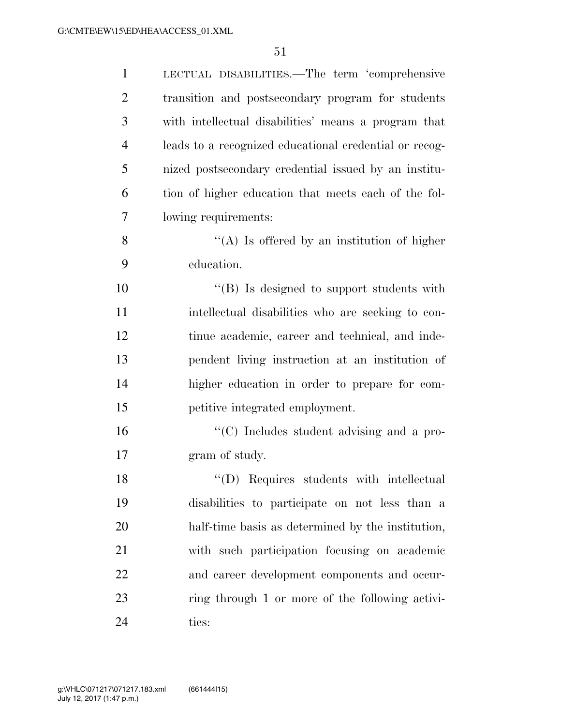| $\mathbf{1}$   | LECTUAL DISABILITIES.—The term 'comprehensive          |
|----------------|--------------------------------------------------------|
| $\overline{2}$ | transition and postsecondary program for students      |
| 3              | with intellectual disabilities' means a program that   |
| $\overline{4}$ | leads to a recognized educational credential or recog- |
| 5              | nized postsecondary credential issued by an institu-   |
| 6              | tion of higher education that meets each of the fol-   |
| 7              | lowing requirements:                                   |
| 8              | "(A) Is offered by an institution of higher            |
| 9              | education.                                             |
| 10             | "(B) Is designed to support students with              |
| 11             | intellectual disabilities who are seeking to con-      |
| 12             | tinue academic, career and technical, and inde-        |
| 13             | pendent living instruction at an institution of        |
| 14             | higher education in order to prepare for com-          |
| 15             | petitive integrated employment.                        |
| 16             | "(C) Includes student advising and a pro-              |
| 17             | gram of study.                                         |
| 18             | "(D) Requires students with intellectual               |
| 19             | disabilities to participate on not less than a         |
| 20             | half-time basis as determined by the institution,      |
| 21             | with such participation focusing on academic           |
| 22             | and career development components and occur-           |
| 23             | ring through 1 or more of the following activi-        |
| 24             | ties:                                                  |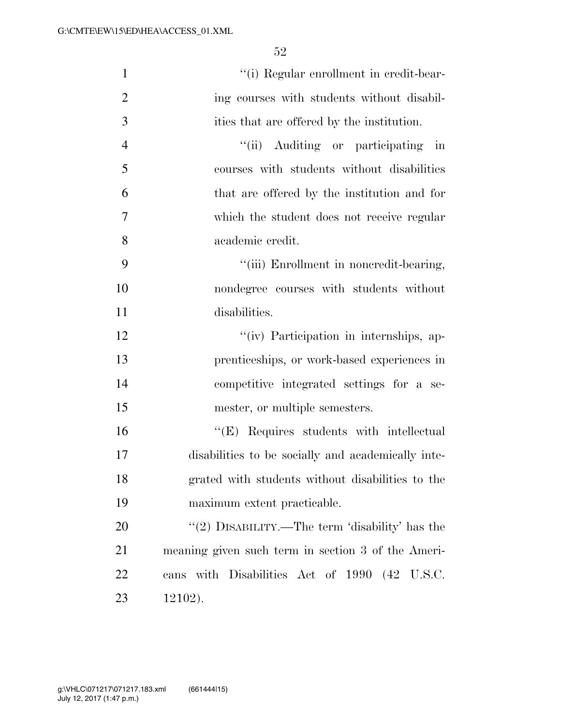| $\mathbf{1}$   | "(i) Regular enrollment in credit-bear-            |
|----------------|----------------------------------------------------|
| $\overline{2}$ | ing courses with students without disabil-         |
| 3              | ities that are offered by the institution.         |
| $\overline{4}$ | "(ii) Auditing or participating in                 |
| 5              | courses with students without disabilities         |
| 6              | that are offered by the institution and for        |
| $\overline{7}$ | which the student does not receive regular         |
| 8              | academic credit.                                   |
| 9              | "(iii) Enrollment in noncredit-bearing,            |
| 10             | nondegree courses with students without            |
| 11             | disabilities.                                      |
| 12             | "(iv) Participation in internships, ap-            |
| 13             | prenticeships, or work-based experiences in        |
| 14             | competitive integrated settings for a se-          |
| 15             | mester, or multiple semesters.                     |
| 16             | "(E) Requires students with intellectual           |
| 17             | disabilities to be socially and academically inte- |
| 18             | grated with students without disabilities to the   |
| 19             | maximum extent practicable.                        |
| 20             | "(2) DISABILITY.—The term 'disability' has the     |
| 21             | meaning given such term in section 3 of the Ameri- |
| 22             | cans with Disabilities Act of 1990 (42 U.S.C.      |
| 23             | $12102$ ).                                         |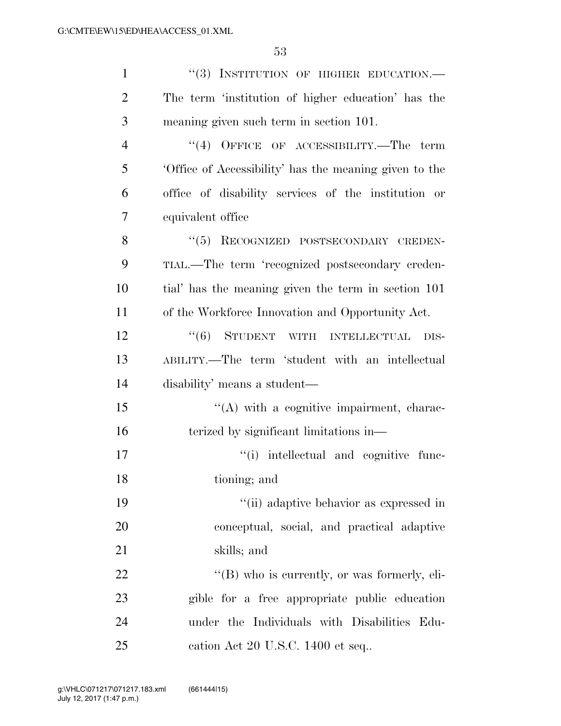| $\mathbf{1}$   | "(3) INSTITUTION OF HIGHER EDUCATION.-                |
|----------------|-------------------------------------------------------|
| $\overline{2}$ | The term 'institution of higher education' has the    |
| 3              | meaning given such term in section 101.               |
| 4              | $``(4)$ OFFICE OF ACCESSIBILITY.—The term             |
| 5              | Office of Accessibility' has the meaning given to the |
| 6              | office of disability services of the institution or   |
| 7              | equivalent office                                     |
| 8              | "(5) RECOGNIZED POSTSECONDARY CREDEN-                 |
| 9              | TIAL.—The term 'recognized postsecondary creden-      |
| 10             | tial' has the meaning given the term in section 101   |
| 11             | of the Workforce Innovation and Opportunity Act.      |
| 12             | "(6) STUDENT WITH INTELLECTUAL<br>DIS-                |
| 13             | ABILITY.—The term 'student with an intellectual       |
| 14             | disability' means a student—                          |
| 15             | $\lq\lq$ with a cognitive impairment, charac-         |
| 16             | terized by significant limitations in—                |
| 17             | "(i) intellectual and cognitive func-                 |
| 18             | tioning; and                                          |
| 19             | "(ii) adaptive behavior as expressed in               |
| 20             | conceptual, social, and practical adaptive            |
| 21             | skills; and                                           |
| 22             | $\lq\lq (B)$ who is currently, or was formerly, eli-  |
| 23             | gible for a free appropriate public education         |
| 24             | under the Individuals with Disabilities Edu-          |
| 25             | cation Act 20 U.S.C. 1400 et seq                      |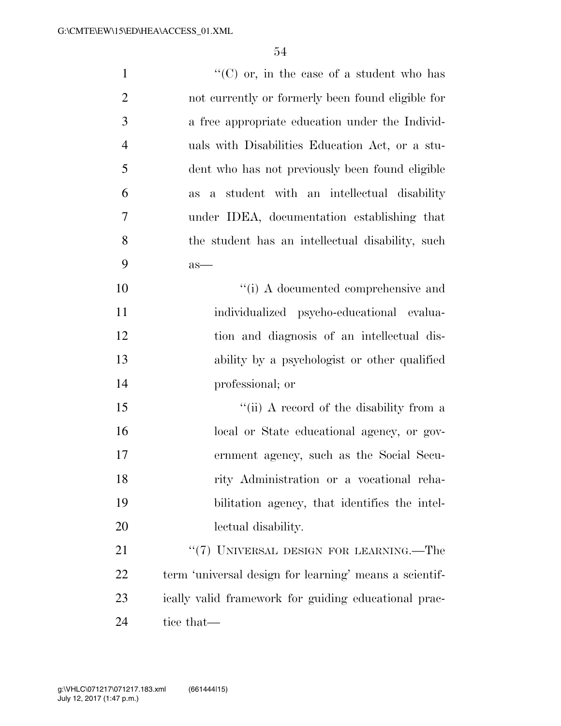| $\mathbf{1}$   | "(C) or, in the case of a student who has                     |
|----------------|---------------------------------------------------------------|
| $\overline{2}$ | not currently or formerly been found eligible for             |
| 3              | a free appropriate education under the Individ-               |
| $\overline{4}$ | uals with Disabilities Education Act, or a stu-               |
| 5              | dent who has not previously been found eligible               |
| 6              | student with an intellectual disability<br>$\mathbf{a}$<br>as |
| 7              | under IDEA, documentation establishing that                   |
| 8              | the student has an intellectual disability, such              |
| 9              | $as-$                                                         |
| 10             | $``(i)$ A documented comprehensive and                        |
| 11             | individualized psycho-educational evalua-                     |
| 12             | tion and diagnosis of an intellectual dis-                    |
| 13             | ability by a psychologist or other qualified                  |
| 14             | professional; or                                              |
| 15             | "(ii) A record of the disability from a                       |
| 16             | local or State educational agency, or gov-                    |
| 17             | ernment agency, such as the Social Secu-                      |
| 18             | rity Administration or a vocational reha-                     |
| 19             | bilitation agency, that identifies the intel-                 |
| 20             | lectual disability.                                           |
| 21             | "(7) UNIVERSAL DESIGN FOR LEARNING.—The                       |
| 22             | term 'universal design for learning' means a scientif-        |
| 23             | ically valid framework for guiding educational prac-          |
| 24             | tice that—                                                    |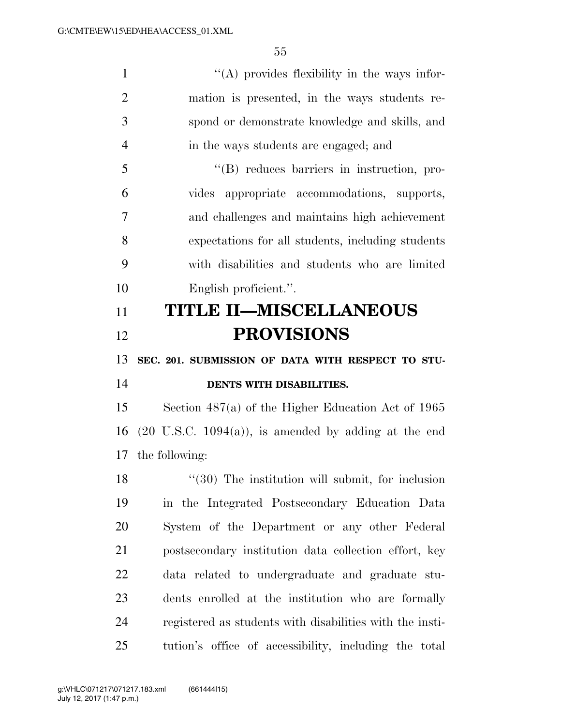$'$ (A) provides flexibility in the ways infor- mation is presented, in the ways students re- spond or demonstrate knowledge and skills, and in the ways students are engaged; and ''(B) reduces barriers in instruction, pro- vides appropriate accommodations, supports, and challenges and maintains high achievement expectations for all students, including students with disabilities and students who are limited English proficient.''. **TITLE II—MISCELLANEOUS PROVISIONS SEC. 201. SUBMISSION OF DATA WITH RESPECT TO STU- DENTS WITH DISABILITIES.**  Section 487(a) of the Higher Education Act of 1965 16 (20 U.S.C. 1094(a)), is amended by adding at the end the following: 18 ''(30) The institution will submit, for inclusion in the Integrated Postsecondary Education Data System of the Department or any other Federal postsecondary institution data collection effort, key data related to undergraduate and graduate stu-dents enrolled at the institution who are formally

tution's office of accessibility, including the total

registered as students with disabilities with the insti-